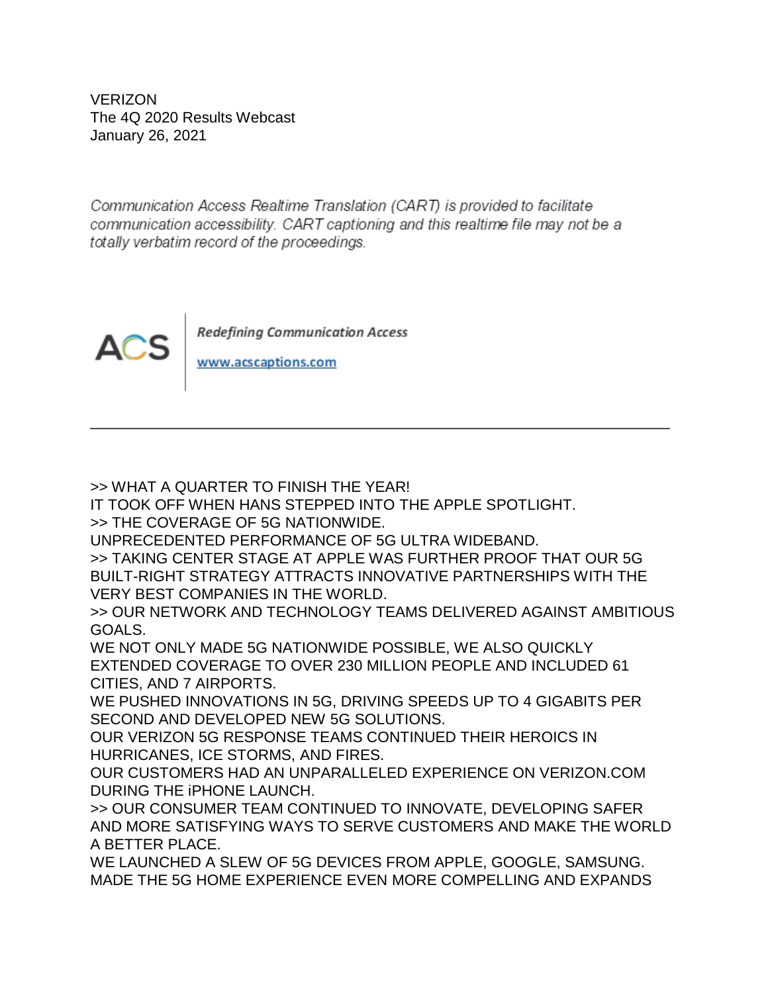VERIZON The 4Q 2020 Results Webcast January 26, 2021

Communication Access Realtime Translation (CART) is provided to facilitate communication accessibility. CART captioning and this realtime file may not be a totally verbatim record of the proceedings.



**Redefining Communication Access** 

www.acscaptions.com

>> WHAT A QUARTER TO FINISH THE YEAR!

IT TOOK OFF WHEN HANS STEPPED INTO THE APPLE SPOTLIGHT.

>> THE COVERAGE OF 5G NATIONWIDE.

UNPRECEDENTED PERFORMANCE OF 5G ULTRA WIDEBAND.

>> TAKING CENTER STAGE AT APPLE WAS FURTHER PROOF THAT OUR 5G BUILT-RIGHT STRATEGY ATTRACTS INNOVATIVE PARTNERSHIPS WITH THE VERY BEST COMPANIES IN THE WORLD.

>> OUR NETWORK AND TECHNOLOGY TEAMS DELIVERED AGAINST AMBITIOUS GOALS.

WE NOT ONLY MADE 5G NATIONWIDE POSSIBLE, WE ALSO QUICKLY EXTENDED COVERAGE TO OVER 230 MILLION PEOPLE AND INCLUDED 61 CITIES, AND 7 AIRPORTS.

WE PUSHED INNOVATIONS IN 5G, DRIVING SPEEDS UP TO 4 GIGABITS PER SECOND AND DEVELOPED NEW 5G SOLUTIONS.

OUR VERIZON 5G RESPONSE TEAMS CONTINUED THEIR HEROICS IN HURRICANES, ICE STORMS, AND FIRES.

OUR CUSTOMERS HAD AN UNPARALLELED EXPERIENCE ON VERIZON.COM DURING THE iPHONE LAUNCH.

>> OUR CONSUMER TEAM CONTINUED TO INNOVATE, DEVELOPING SAFER AND MORE SATISFYING WAYS TO SERVE CUSTOMERS AND MAKE THE WORLD A BETTER PLACE.

WE LAUNCHED A SLEW OF 5G DEVICES FROM APPLE, GOOGLE, SAMSUNG. MADE THE 5G HOME EXPERIENCE EVEN MORE COMPELLING AND EXPANDS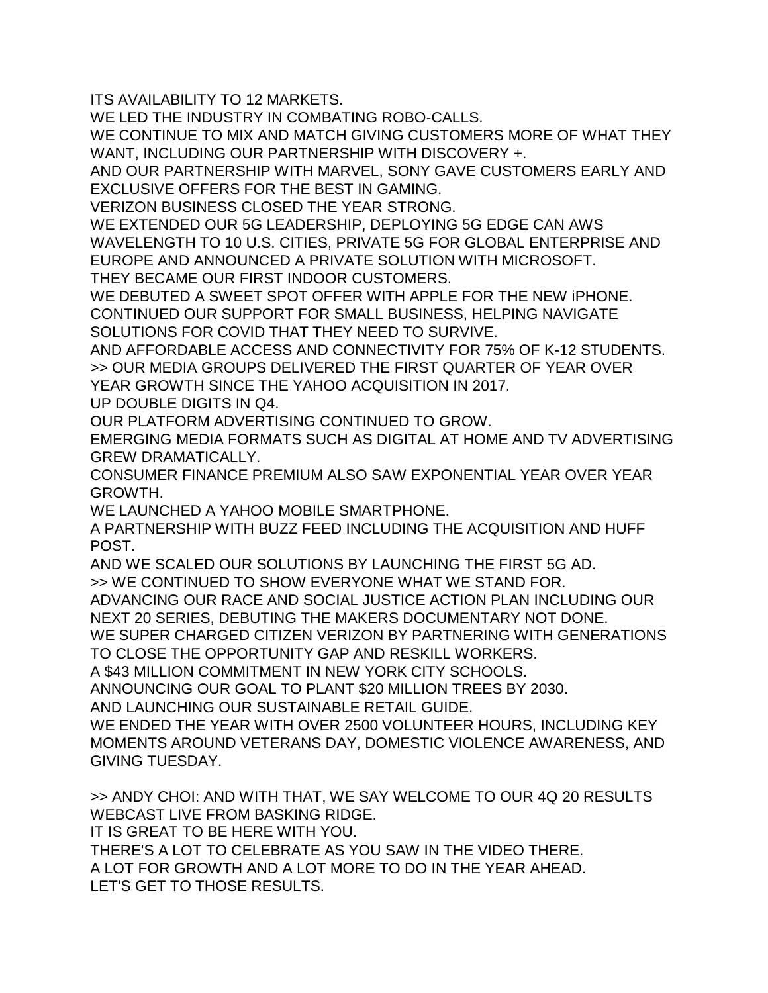ITS AVAILABILITY TO 12 MARKETS.

WE LED THE INDUSTRY IN COMBATING ROBO-CALLS.

WE CONTINUE TO MIX AND MATCH GIVING CUSTOMERS MORE OF WHAT THEY WANT, INCLUDING OUR PARTNERSHIP WITH DISCOVERY +.

AND OUR PARTNERSHIP WITH MARVEL, SONY GAVE CUSTOMERS EARLY AND EXCLUSIVE OFFERS FOR THE BEST IN GAMING.

VERIZON BUSINESS CLOSED THE YEAR STRONG.

WE EXTENDED OUR 5G LEADERSHIP, DEPLOYING 5G EDGE CAN AWS WAVELENGTH TO 10 U.S. CITIES, PRIVATE 5G FOR GLOBAL ENTERPRISE AND EUROPE AND ANNOUNCED A PRIVATE SOLUTION WITH MICROSOFT.

THEY BECAME OUR FIRST INDOOR CUSTOMERS.

WE DEBUTED A SWEET SPOT OFFER WITH APPLE FOR THE NEW iPHONE.

CONTINUED OUR SUPPORT FOR SMALL BUSINESS, HELPING NAVIGATE SOLUTIONS FOR COVID THAT THEY NEED TO SURVIVE.

AND AFFORDABLE ACCESS AND CONNECTIVITY FOR 75% OF K-12 STUDENTS. >> OUR MEDIA GROUPS DELIVERED THE FIRST QUARTER OF YEAR OVER YEAR GROWTH SINCE THE YAHOO ACQUISITION IN 2017.

UP DOUBLE DIGITS IN Q4.

OUR PLATFORM ADVERTISING CONTINUED TO GROW.

EMERGING MEDIA FORMATS SUCH AS DIGITAL AT HOME AND TV ADVERTISING GREW DRAMATICALLY.

CONSUMER FINANCE PREMIUM ALSO SAW EXPONENTIAL YEAR OVER YEAR GROWTH.

WE LAUNCHED A YAHOO MOBILE SMARTPHONE.

A PARTNERSHIP WITH BUZZ FEED INCLUDING THE ACQUISITION AND HUFF POST.

AND WE SCALED OUR SOLUTIONS BY LAUNCHING THE FIRST 5G AD.

>> WE CONTINUED TO SHOW EVERYONE WHAT WE STAND FOR.

ADVANCING OUR RACE AND SOCIAL JUSTICE ACTION PLAN INCLUDING OUR NEXT 20 SERIES, DEBUTING THE MAKERS DOCUMENTARY NOT DONE.

WE SUPER CHARGED CITIZEN VERIZON BY PARTNERING WITH GENERATIONS TO CLOSE THE OPPORTUNITY GAP AND RESKILL WORKERS.

A \$43 MILLION COMMITMENT IN NEW YORK CITY SCHOOLS.

ANNOUNCING OUR GOAL TO PLANT \$20 MILLION TREES BY 2030.

AND LAUNCHING OUR SUSTAINABLE RETAIL GUIDE.

WE ENDED THE YEAR WITH OVER 2500 VOLUNTEER HOURS, INCLUDING KEY MOMENTS AROUND VETERANS DAY, DOMESTIC VIOLENCE AWARENESS, AND GIVING TUESDAY.

>> ANDY CHOI: AND WITH THAT, WE SAY WELCOME TO OUR 4Q 20 RESULTS WEBCAST LIVE FROM BASKING RIDGE. IT IS GREAT TO BE HERE WITH YOU. THERE'S A LOT TO CELEBRATE AS YOU SAW IN THE VIDEO THERE. A LOT FOR GROWTH AND A LOT MORE TO DO IN THE YEAR AHEAD.

LET'S GET TO THOSE RESULTS.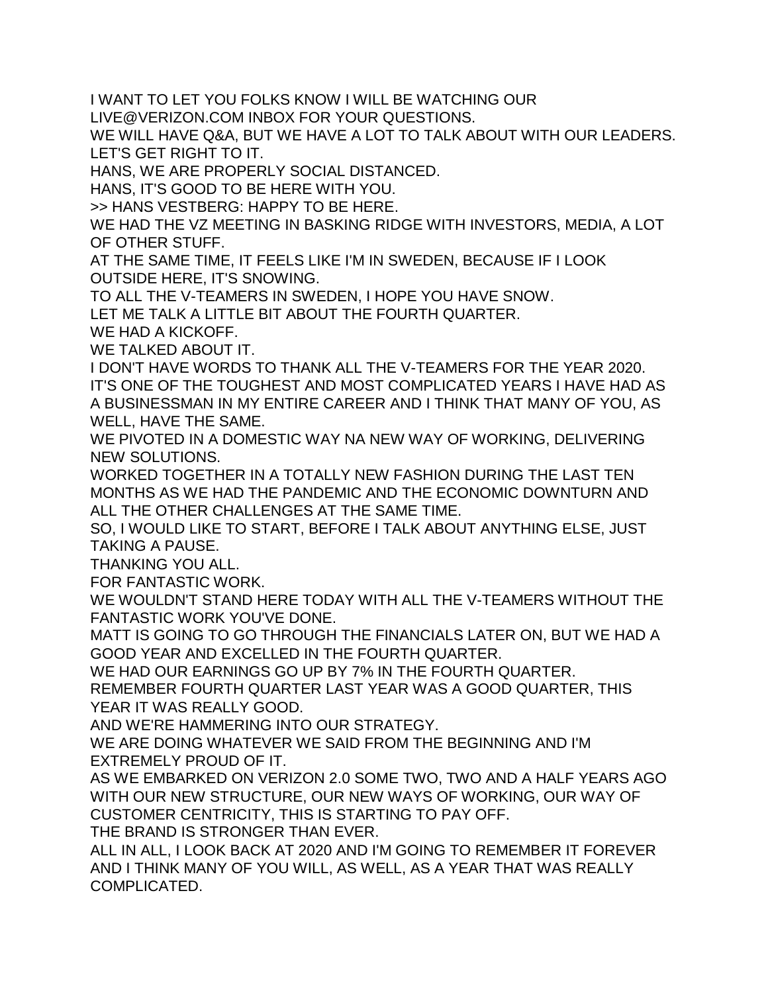I WANT TO LET YOU FOLKS KNOW I WILL BE WATCHING OUR

LIVE@VERIZON.COM INBOX FOR YOUR QUESTIONS.

WE WILL HAVE Q&A, BUT WE HAVE A LOT TO TALK ABOUT WITH OUR LEADERS. LET'S GET RIGHT TO IT.

HANS, WE ARE PROPERLY SOCIAL DISTANCED.

HANS, IT'S GOOD TO BE HERE WITH YOU.

>> HANS VESTBERG: HAPPY TO BE HERE.

WE HAD THE VZ MEETING IN BASKING RIDGE WITH INVESTORS, MEDIA, A LOT OF OTHER STUFF.

AT THE SAME TIME, IT FEELS LIKE I'M IN SWEDEN, BECAUSE IF I LOOK OUTSIDE HERE, IT'S SNOWING.

TO ALL THE V-TEAMERS IN SWEDEN, I HOPE YOU HAVE SNOW.

LET ME TALK A LITTLE BIT ABOUT THE FOURTH QUARTER.

WE HAD A KICKOFF.

WE TALKED ABOUT IT.

I DON'T HAVE WORDS TO THANK ALL THE V-TEAMERS FOR THE YEAR 2020. IT'S ONE OF THE TOUGHEST AND MOST COMPLICATED YEARS I HAVE HAD AS A BUSINESSMAN IN MY ENTIRE CAREER AND I THINK THAT MANY OF YOU, AS WELL, HAVE THE SAME.

WE PIVOTED IN A DOMESTIC WAY NA NEW WAY OF WORKING, DELIVERING NEW SOLUTIONS.

WORKED TOGETHER IN A TOTALLY NEW FASHION DURING THE LAST TEN MONTHS AS WE HAD THE PANDEMIC AND THE ECONOMIC DOWNTURN AND ALL THE OTHER CHALLENGES AT THE SAME TIME.

SO, I WOULD LIKE TO START, BEFORE I TALK ABOUT ANYTHING ELSE, JUST TAKING A PAUSE.

THANKING YOU ALL.

FOR FANTASTIC WORK.

WE WOULDN'T STAND HERE TODAY WITH ALL THE V-TEAMERS WITHOUT THE FANTASTIC WORK YOU'VE DONE.

MATT IS GOING TO GO THROUGH THE FINANCIALS LATER ON, BUT WE HAD A GOOD YEAR AND EXCELLED IN THE FOURTH QUARTER.

WE HAD OUR EARNINGS GO UP BY 7% IN THE FOURTH QUARTER.

REMEMBER FOURTH QUARTER LAST YEAR WAS A GOOD QUARTER, THIS YEAR IT WAS REALLY GOOD.

AND WE'RE HAMMERING INTO OUR STRATEGY.

WE ARE DOING WHATEVER WE SAID FROM THE BEGINNING AND I'M EXTREMELY PROUD OF IT.

AS WE EMBARKED ON VERIZON 2.0 SOME TWO, TWO AND A HALF YEARS AGO WITH OUR NEW STRUCTURE, OUR NEW WAYS OF WORKING, OUR WAY OF CUSTOMER CENTRICITY, THIS IS STARTING TO PAY OFF.

THE BRAND IS STRONGER THAN EVER.

ALL IN ALL, I LOOK BACK AT 2020 AND I'M GOING TO REMEMBER IT FOREVER AND I THINK MANY OF YOU WILL, AS WELL, AS A YEAR THAT WAS REALLY COMPLICATED.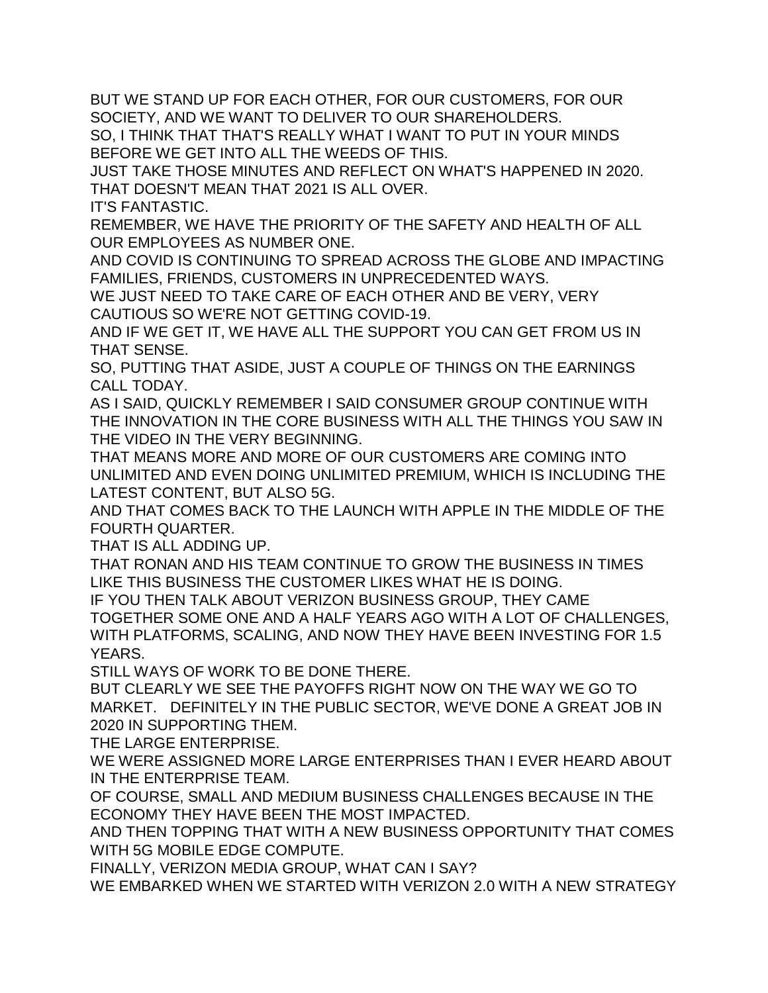BUT WE STAND UP FOR EACH OTHER, FOR OUR CUSTOMERS, FOR OUR SOCIETY, AND WE WANT TO DELIVER TO OUR SHAREHOLDERS.

SO, I THINK THAT THAT'S REALLY WHAT I WANT TO PUT IN YOUR MINDS BEFORE WE GET INTO ALL THE WEEDS OF THIS.

JUST TAKE THOSE MINUTES AND REFLECT ON WHAT'S HAPPENED IN 2020. THAT DOESN'T MEAN THAT 2021 IS ALL OVER.

IT'S FANTASTIC.

REMEMBER, WE HAVE THE PRIORITY OF THE SAFETY AND HEALTH OF ALL OUR EMPLOYEES AS NUMBER ONE.

AND COVID IS CONTINUING TO SPREAD ACROSS THE GLOBE AND IMPACTING FAMILIES, FRIENDS, CUSTOMERS IN UNPRECEDENTED WAYS.

WE JUST NEED TO TAKE CARE OF EACH OTHER AND BE VERY, VERY CAUTIOUS SO WE'RE NOT GETTING COVID-19.

AND IF WE GET IT, WE HAVE ALL THE SUPPORT YOU CAN GET FROM US IN THAT SENSE.

SO, PUTTING THAT ASIDE, JUST A COUPLE OF THINGS ON THE EARNINGS CALL TODAY.

AS I SAID, QUICKLY REMEMBER I SAID CONSUMER GROUP CONTINUE WITH THE INNOVATION IN THE CORE BUSINESS WITH ALL THE THINGS YOU SAW IN THE VIDEO IN THE VERY BEGINNING.

THAT MEANS MORE AND MORE OF OUR CUSTOMERS ARE COMING INTO UNLIMITED AND EVEN DOING UNLIMITED PREMIUM, WHICH IS INCLUDING THE LATEST CONTENT, BUT ALSO 5G.

AND THAT COMES BACK TO THE LAUNCH WITH APPLE IN THE MIDDLE OF THE FOURTH QUARTER.

THAT IS ALL ADDING UP.

THAT RONAN AND HIS TEAM CONTINUE TO GROW THE BUSINESS IN TIMES LIKE THIS BUSINESS THE CUSTOMER LIKES WHAT HE IS DOING.

IF YOU THEN TALK ABOUT VERIZON BUSINESS GROUP, THEY CAME TOGETHER SOME ONE AND A HALF YEARS AGO WITH A LOT OF CHALLENGES, WITH PLATFORMS, SCALING, AND NOW THEY HAVE BEEN INVESTING FOR 1.5 YEARS.

STILL WAYS OF WORK TO BE DONE THERE.

BUT CLEARLY WE SEE THE PAYOFFS RIGHT NOW ON THE WAY WE GO TO MARKET. DEFINITELY IN THE PUBLIC SECTOR, WE'VE DONE A GREAT JOB IN 2020 IN SUPPORTING THEM.

THE LARGE ENTERPRISE.

WE WERE ASSIGNED MORE LARGE ENTERPRISES THAN I EVER HEARD ABOUT IN THE ENTERPRISE TEAM.

OF COURSE, SMALL AND MEDIUM BUSINESS CHALLENGES BECAUSE IN THE ECONOMY THEY HAVE BEEN THE MOST IMPACTED.

AND THEN TOPPING THAT WITH A NEW BUSINESS OPPORTUNITY THAT COMES WITH 5G MOBILE EDGE COMPUTE.

FINALLY, VERIZON MEDIA GROUP, WHAT CAN I SAY?

WE EMBARKED WHEN WE STARTED WITH VERIZON 2.0 WITH A NEW STRATEGY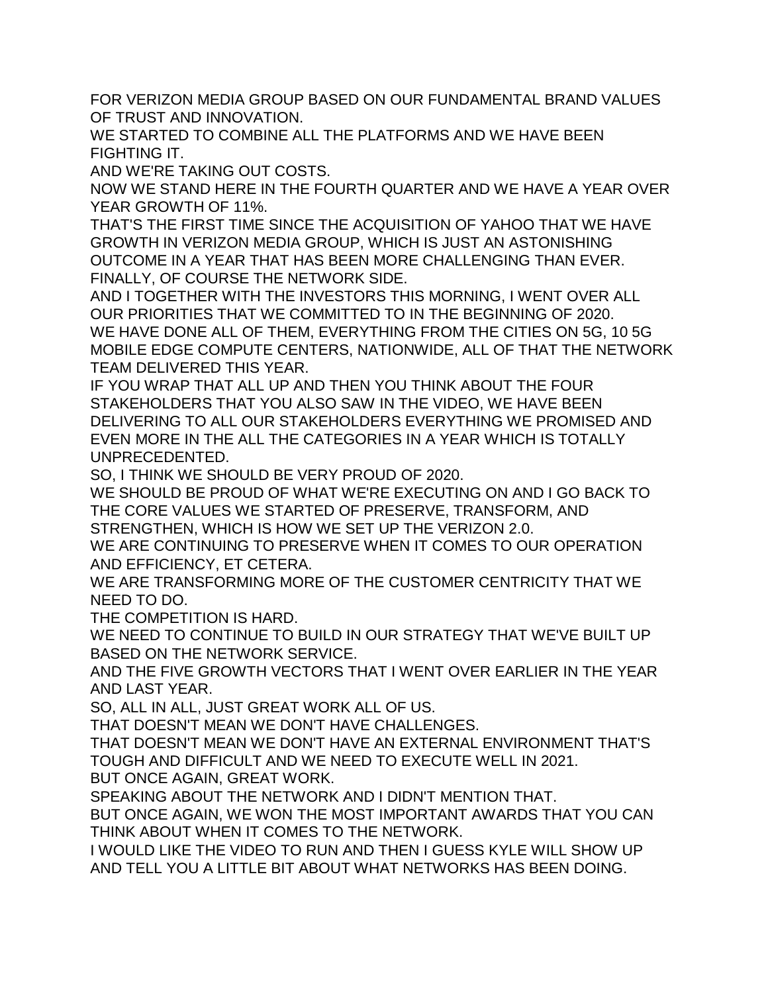FOR VERIZON MEDIA GROUP BASED ON OUR FUNDAMENTAL BRAND VALUES OF TRUST AND INNOVATION.

WE STARTED TO COMBINE ALL THE PLATFORMS AND WE HAVE BEEN FIGHTING IT.

AND WE'RE TAKING OUT COSTS.

NOW WE STAND HERE IN THE FOURTH QUARTER AND WE HAVE A YEAR OVER YEAR GROWTH OF 11%.

THAT'S THE FIRST TIME SINCE THE ACQUISITION OF YAHOO THAT WE HAVE GROWTH IN VERIZON MEDIA GROUP, WHICH IS JUST AN ASTONISHING OUTCOME IN A YEAR THAT HAS BEEN MORE CHALLENGING THAN EVER. FINALLY, OF COURSE THE NETWORK SIDE.

AND I TOGETHER WITH THE INVESTORS THIS MORNING, I WENT OVER ALL OUR PRIORITIES THAT WE COMMITTED TO IN THE BEGINNING OF 2020. WE HAVE DONE ALL OF THEM, EVERYTHING FROM THE CITIES ON 5G, 10 5G MOBILE EDGE COMPUTE CENTERS, NATIONWIDE, ALL OF THAT THE NETWORK TEAM DELIVERED THIS YEAR.

IF YOU WRAP THAT ALL UP AND THEN YOU THINK ABOUT THE FOUR STAKEHOLDERS THAT YOU ALSO SAW IN THE VIDEO, WE HAVE BEEN DELIVERING TO ALL OUR STAKEHOLDERS EVERYTHING WE PROMISED AND EVEN MORE IN THE ALL THE CATEGORIES IN A YEAR WHICH IS TOTALLY UNPRECEDENTED.

SO, I THINK WE SHOULD BE VERY PROUD OF 2020.

WE SHOULD BE PROUD OF WHAT WE'RE EXECUTING ON AND I GO BACK TO THE CORE VALUES WE STARTED OF PRESERVE, TRANSFORM, AND STRENGTHEN, WHICH IS HOW WE SET UP THE VERIZON 2.0.

WE ARE CONTINUING TO PRESERVE WHEN IT COMES TO OUR OPERATION AND EFFICIENCY, ET CETERA.

WE ARE TRANSFORMING MORE OF THE CUSTOMER CENTRICITY THAT WE NEED TO DO.

THE COMPETITION IS HARD.

WE NEED TO CONTINUE TO BUILD IN OUR STRATEGY THAT WE'VE BUILT UP BASED ON THE NETWORK SERVICE.

AND THE FIVE GROWTH VECTORS THAT I WENT OVER EARLIER IN THE YEAR AND LAST YEAR.

SO, ALL IN ALL, JUST GREAT WORK ALL OF US.

THAT DOESN'T MEAN WE DON'T HAVE CHALLENGES.

THAT DOESN'T MEAN WE DON'T HAVE AN EXTERNAL ENVIRONMENT THAT'S TOUGH AND DIFFICULT AND WE NEED TO EXECUTE WELL IN 2021.

BUT ONCE AGAIN, GREAT WORK.

SPEAKING ABOUT THE NETWORK AND I DIDN'T MENTION THAT.

BUT ONCE AGAIN, WE WON THE MOST IMPORTANT AWARDS THAT YOU CAN THINK ABOUT WHEN IT COMES TO THE NETWORK.

I WOULD LIKE THE VIDEO TO RUN AND THEN I GUESS KYLE WILL SHOW UP AND TELL YOU A LITTLE BIT ABOUT WHAT NETWORKS HAS BEEN DOING.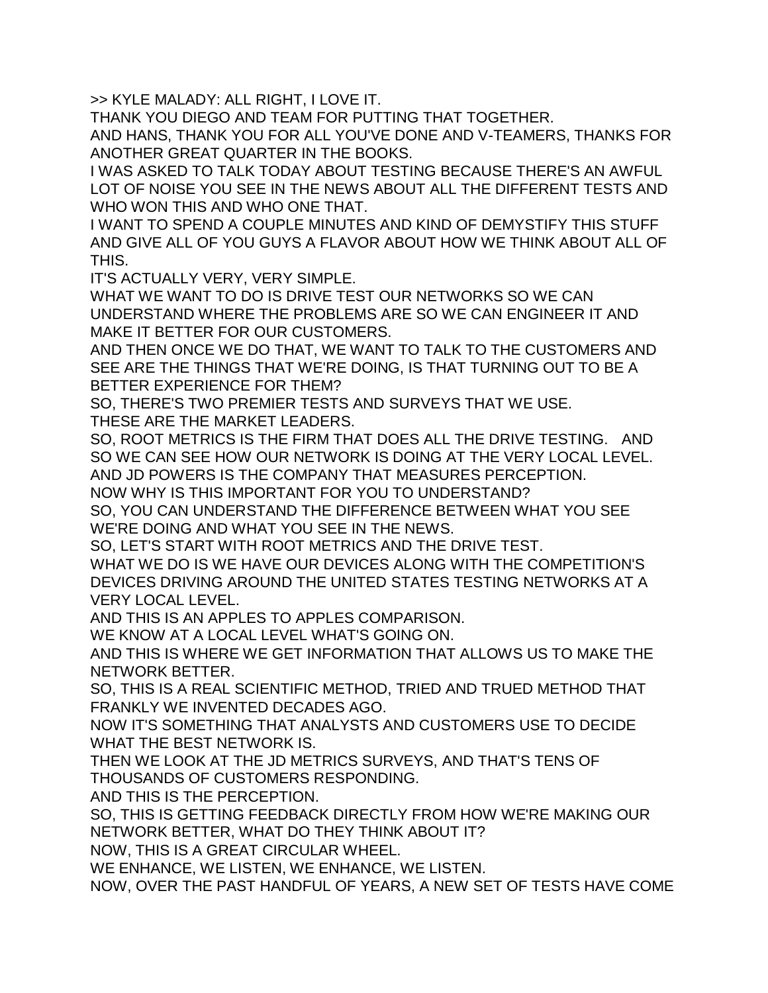>> KYLE MALADY: ALL RIGHT, I LOVE IT.

THANK YOU DIEGO AND TEAM FOR PUTTING THAT TOGETHER.

AND HANS, THANK YOU FOR ALL YOU'VE DONE AND V-TEAMERS, THANKS FOR ANOTHER GREAT QUARTER IN THE BOOKS.

I WAS ASKED TO TALK TODAY ABOUT TESTING BECAUSE THERE'S AN AWFUL LOT OF NOISE YOU SEE IN THE NEWS ABOUT ALL THE DIFFERENT TESTS AND WHO WON THIS AND WHO ONE THAT.

I WANT TO SPEND A COUPLE MINUTES AND KIND OF DEMYSTIFY THIS STUFF AND GIVE ALL OF YOU GUYS A FLAVOR ABOUT HOW WE THINK ABOUT ALL OF THIS.

IT'S ACTUALLY VERY, VERY SIMPLE.

WHAT WE WANT TO DO IS DRIVE TEST OUR NETWORKS SO WE CAN UNDERSTAND WHERE THE PROBLEMS ARE SO WE CAN ENGINEER IT AND MAKE IT BETTER FOR OUR CUSTOMERS.

AND THEN ONCE WE DO THAT, WE WANT TO TALK TO THE CUSTOMERS AND SEE ARE THE THINGS THAT WE'RE DOING, IS THAT TURNING OUT TO BE A BETTER EXPERIENCE FOR THEM?

SO, THERE'S TWO PREMIER TESTS AND SURVEYS THAT WE USE.

THESE ARE THE MARKET LEADERS.

SO, ROOT METRICS IS THE FIRM THAT DOES ALL THE DRIVE TESTING. AND SO WE CAN SEE HOW OUR NETWORK IS DOING AT THE VERY LOCAL LEVEL. AND JD POWERS IS THE COMPANY THAT MEASURES PERCEPTION. NOW WHY IS THIS IMPORTANT FOR YOU TO UNDERSTAND?

SO, YOU CAN UNDERSTAND THE DIFFERENCE BETWEEN WHAT YOU SEE WE'RE DOING AND WHAT YOU SEE IN THE NEWS.

SO, LET'S START WITH ROOT METRICS AND THE DRIVE TEST.

WHAT WE DO IS WE HAVE OUR DEVICES ALONG WITH THE COMPETITION'S DEVICES DRIVING AROUND THE UNITED STATES TESTING NETWORKS AT A VERY LOCAL LEVEL.

AND THIS IS AN APPLES TO APPLES COMPARISON.

WE KNOW AT A LOCAL LEVEL WHAT'S GOING ON.

AND THIS IS WHERE WE GET INFORMATION THAT ALLOWS US TO MAKE THE NETWORK BETTER.

SO, THIS IS A REAL SCIENTIFIC METHOD, TRIED AND TRUED METHOD THAT FRANKLY WE INVENTED DECADES AGO.

NOW IT'S SOMETHING THAT ANALYSTS AND CUSTOMERS USE TO DECIDE WHAT THE BEST NETWORK IS.

THEN WE LOOK AT THE JD METRICS SURVEYS, AND THAT'S TENS OF THOUSANDS OF CUSTOMERS RESPONDING.

AND THIS IS THE PERCEPTION.

SO, THIS IS GETTING FEEDBACK DIRECTLY FROM HOW WE'RE MAKING OUR NETWORK BETTER, WHAT DO THEY THINK ABOUT IT?

NOW, THIS IS A GREAT CIRCULAR WHEEL.

WE ENHANCE, WE LISTEN, WE ENHANCE, WE LISTEN.

NOW, OVER THE PAST HANDFUL OF YEARS, A NEW SET OF TESTS HAVE COME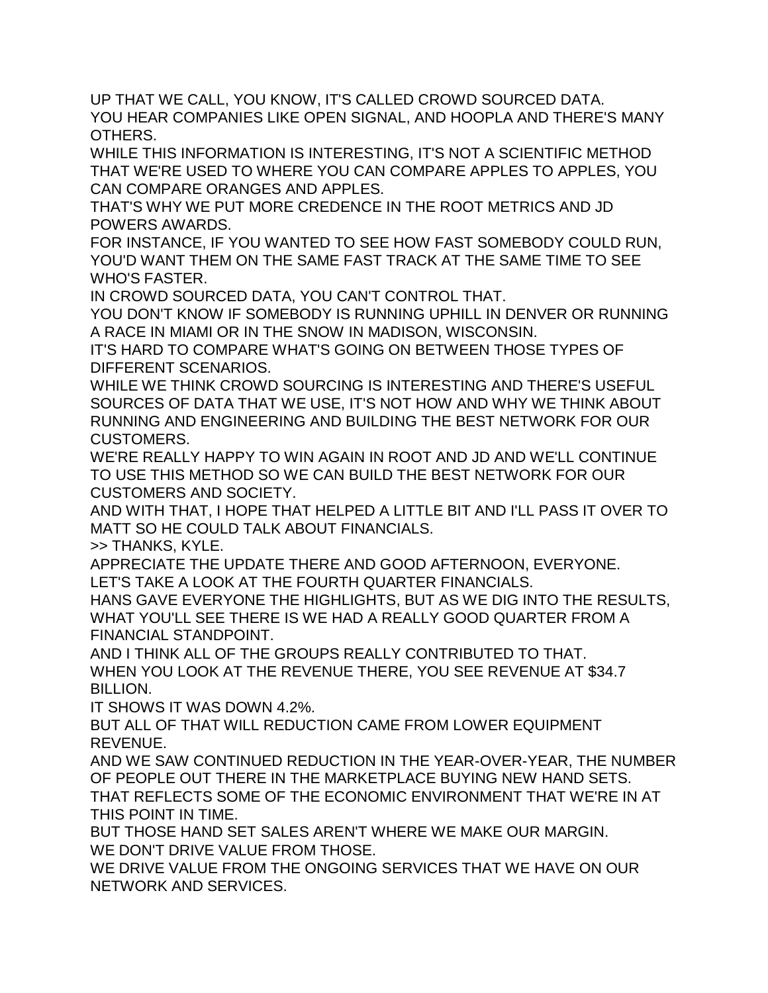UP THAT WE CALL, YOU KNOW, IT'S CALLED CROWD SOURCED DATA. YOU HEAR COMPANIES LIKE OPEN SIGNAL, AND HOOPLA AND THERE'S MANY OTHERS.

WHILE THIS INFORMATION IS INTERESTING, IT'S NOT A SCIENTIFIC METHOD THAT WE'RE USED TO WHERE YOU CAN COMPARE APPLES TO APPLES, YOU CAN COMPARE ORANGES AND APPLES.

THAT'S WHY WE PUT MORE CREDENCE IN THE ROOT METRICS AND JD POWERS AWARDS.

FOR INSTANCE, IF YOU WANTED TO SEE HOW FAST SOMEBODY COULD RUN, YOU'D WANT THEM ON THE SAME FAST TRACK AT THE SAME TIME TO SEE WHO'S FASTER.

IN CROWD SOURCED DATA, YOU CAN'T CONTROL THAT.

YOU DON'T KNOW IF SOMEBODY IS RUNNING UPHILL IN DENVER OR RUNNING A RACE IN MIAMI OR IN THE SNOW IN MADISON, WISCONSIN.

IT'S HARD TO COMPARE WHAT'S GOING ON BETWEEN THOSE TYPES OF DIFFERENT SCENARIOS.

WHILE WE THINK CROWD SOURCING IS INTERESTING AND THERE'S USEFUL SOURCES OF DATA THAT WE USE, IT'S NOT HOW AND WHY WE THINK ABOUT RUNNING AND ENGINEERING AND BUILDING THE BEST NETWORK FOR OUR CUSTOMERS.

WE'RE REALLY HAPPY TO WIN AGAIN IN ROOT AND JD AND WE'LL CONTINUE TO USE THIS METHOD SO WE CAN BUILD THE BEST NETWORK FOR OUR CUSTOMERS AND SOCIETY.

AND WITH THAT, I HOPE THAT HELPED A LITTLE BIT AND I'LL PASS IT OVER TO MATT SO HE COULD TALK ABOUT FINANCIALS.

>> THANKS, KYLE.

APPRECIATE THE UPDATE THERE AND GOOD AFTERNOON, EVERYONE. LET'S TAKE A LOOK AT THE FOURTH QUARTER FINANCIALS.

HANS GAVE EVERYONE THE HIGHLIGHTS, BUT AS WE DIG INTO THE RESULTS, WHAT YOU'LL SEE THERE IS WE HAD A REALLY GOOD QUARTER FROM A FINANCIAL STANDPOINT.

AND I THINK ALL OF THE GROUPS REALLY CONTRIBUTED TO THAT. WHEN YOU LOOK AT THE REVENUE THERE, YOU SEE REVENUE AT \$34.7 BILLION.

IT SHOWS IT WAS DOWN 4.2%.

BUT ALL OF THAT WILL REDUCTION CAME FROM LOWER EQUIPMENT REVENUE.

AND WE SAW CONTINUED REDUCTION IN THE YEAR-OVER-YEAR, THE NUMBER OF PEOPLE OUT THERE IN THE MARKETPLACE BUYING NEW HAND SETS. THAT REFLECTS SOME OF THE ECONOMIC ENVIRONMENT THAT WE'RE IN AT THIS POINT IN TIME.

BUT THOSE HAND SET SALES AREN'T WHERE WE MAKE OUR MARGIN. WE DON'T DRIVE VALUE FROM THOSE.

WE DRIVE VALUE FROM THE ONGOING SERVICES THAT WE HAVE ON OUR NETWORK AND SERVICES.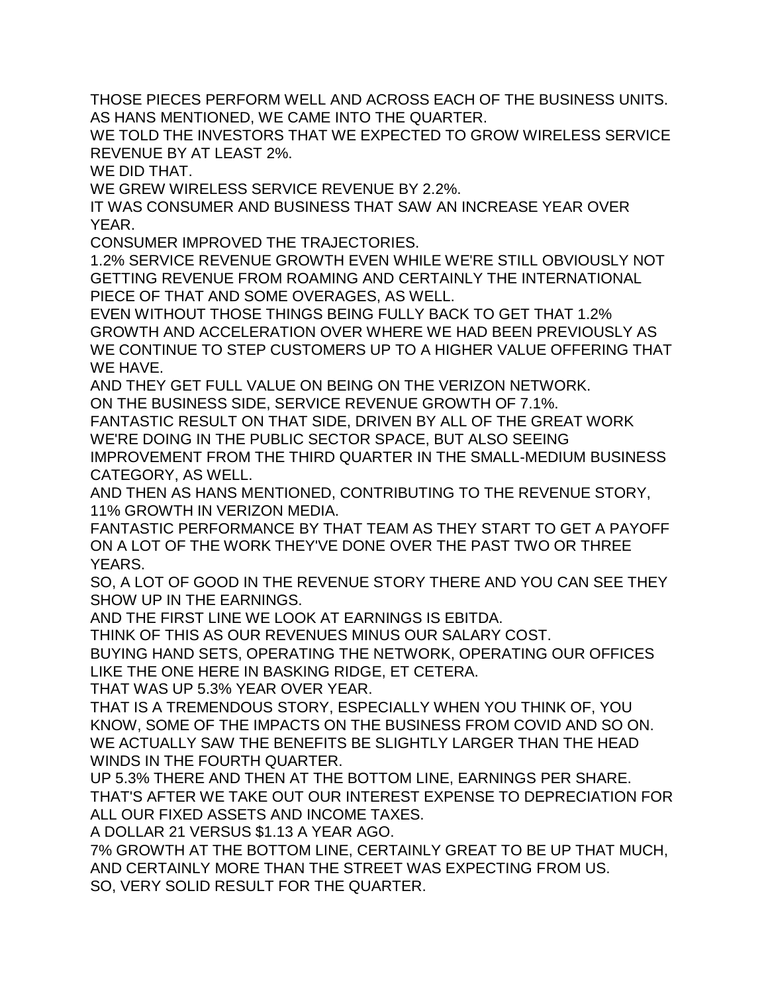THOSE PIECES PERFORM WELL AND ACROSS EACH OF THE BUSINESS UNITS. AS HANS MENTIONED, WE CAME INTO THE QUARTER.

WE TOLD THE INVESTORS THAT WE EXPECTED TO GROW WIRELESS SERVICE REVENUE BY AT LEAST 2%.

WE DID THAT.

WE GREW WIRELESS SERVICE REVENUE BY 2.2%.

IT WAS CONSUMER AND BUSINESS THAT SAW AN INCREASE YEAR OVER YEAR.

CONSUMER IMPROVED THE TRAJECTORIES.

1.2% SERVICE REVENUE GROWTH EVEN WHILE WE'RE STILL OBVIOUSLY NOT GETTING REVENUE FROM ROAMING AND CERTAINLY THE INTERNATIONAL PIECE OF THAT AND SOME OVERAGES, AS WELL.

EVEN WITHOUT THOSE THINGS BEING FULLY BACK TO GET THAT 1.2% GROWTH AND ACCELERATION OVER WHERE WE HAD BEEN PREVIOUSLY AS WE CONTINUE TO STEP CUSTOMERS UP TO A HIGHER VALUE OFFERING THAT WE HAVE.

AND THEY GET FULL VALUE ON BEING ON THE VERIZON NETWORK. ON THE BUSINESS SIDE, SERVICE REVENUE GROWTH OF 7.1%.

FANTASTIC RESULT ON THAT SIDE, DRIVEN BY ALL OF THE GREAT WORK WE'RE DOING IN THE PUBLIC SECTOR SPACE, BUT ALSO SEEING

IMPROVEMENT FROM THE THIRD QUARTER IN THE SMALL-MEDIUM BUSINESS CATEGORY, AS WELL.

AND THEN AS HANS MENTIONED, CONTRIBUTING TO THE REVENUE STORY, 11% GROWTH IN VERIZON MEDIA.

FANTASTIC PERFORMANCE BY THAT TEAM AS THEY START TO GET A PAYOFF ON A LOT OF THE WORK THEY'VE DONE OVER THE PAST TWO OR THREE YEARS.

SO, A LOT OF GOOD IN THE REVENUE STORY THERE AND YOU CAN SEE THEY SHOW UP IN THE EARNINGS.

AND THE FIRST LINE WE LOOK AT EARNINGS IS EBITDA.

THINK OF THIS AS OUR REVENUES MINUS OUR SALARY COST.

BUYING HAND SETS, OPERATING THE NETWORK, OPERATING OUR OFFICES LIKE THE ONE HERE IN BASKING RIDGE, ET CETERA.

THAT WAS UP 5.3% YEAR OVER YEAR.

THAT IS A TREMENDOUS STORY, ESPECIALLY WHEN YOU THINK OF, YOU KNOW, SOME OF THE IMPACTS ON THE BUSINESS FROM COVID AND SO ON. WE ACTUALLY SAW THE BENEFITS BE SLIGHTLY LARGER THAN THE HEAD WINDS IN THE FOURTH QUARTER.

UP 5.3% THERE AND THEN AT THE BOTTOM LINE, EARNINGS PER SHARE. THAT'S AFTER WE TAKE OUT OUR INTEREST EXPENSE TO DEPRECIATION FOR ALL OUR FIXED ASSETS AND INCOME TAXES.

A DOLLAR 21 VERSUS \$1.13 A YEAR AGO.

7% GROWTH AT THE BOTTOM LINE, CERTAINLY GREAT TO BE UP THAT MUCH, AND CERTAINLY MORE THAN THE STREET WAS EXPECTING FROM US. SO, VERY SOLID RESULT FOR THE QUARTER.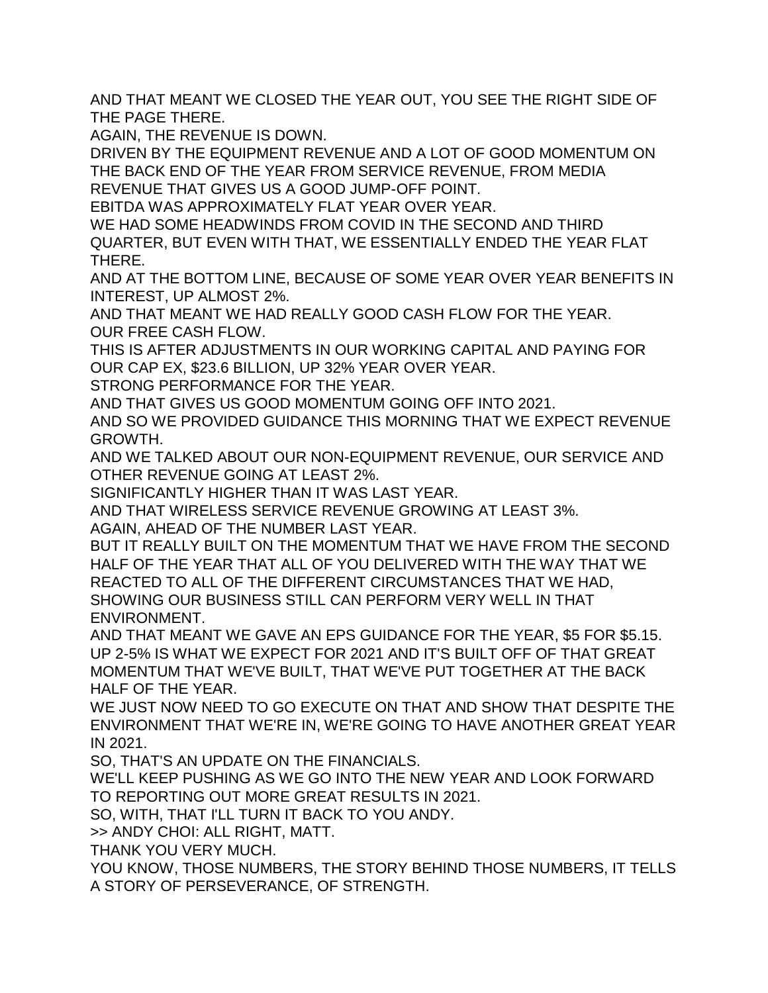AND THAT MEANT WE CLOSED THE YEAR OUT, YOU SEE THE RIGHT SIDE OF THE PAGE THERE.

AGAIN, THE REVENUE IS DOWN.

DRIVEN BY THE EQUIPMENT REVENUE AND A LOT OF GOOD MOMENTUM ON THE BACK END OF THE YEAR FROM SERVICE REVENUE, FROM MEDIA REVENUE THAT GIVES US A GOOD JUMP-OFF POINT.

EBITDA WAS APPROXIMATELY FLAT YEAR OVER YEAR.

WE HAD SOME HEADWINDS FROM COVID IN THE SECOND AND THIRD QUARTER, BUT EVEN WITH THAT, WE ESSENTIALLY ENDED THE YEAR FLAT THERE.

AND AT THE BOTTOM LINE, BECAUSE OF SOME YEAR OVER YEAR BENEFITS IN INTEREST, UP ALMOST 2%.

AND THAT MEANT WE HAD REALLY GOOD CASH FLOW FOR THE YEAR. OUR FREE CASH FLOW.

THIS IS AFTER ADJUSTMENTS IN OUR WORKING CAPITAL AND PAYING FOR OUR CAP EX, \$23.6 BILLION, UP 32% YEAR OVER YEAR.

STRONG PERFORMANCE FOR THE YEAR.

AND THAT GIVES US GOOD MOMENTUM GOING OFF INTO 2021.

AND SO WE PROVIDED GUIDANCE THIS MORNING THAT WE EXPECT REVENUE GROWTH.

AND WE TALKED ABOUT OUR NON-EQUIPMENT REVENUE, OUR SERVICE AND OTHER REVENUE GOING AT LEAST 2%.

SIGNIFICANTLY HIGHER THAN IT WAS LAST YEAR.

AND THAT WIRELESS SERVICE REVENUE GROWING AT LEAST 3%.

AGAIN, AHEAD OF THE NUMBER LAST YEAR.

BUT IT REALLY BUILT ON THE MOMENTUM THAT WE HAVE FROM THE SECOND HALF OF THE YEAR THAT ALL OF YOU DELIVERED WITH THE WAY THAT WE REACTED TO ALL OF THE DIFFERENT CIRCUMSTANCES THAT WE HAD, SHOWING OUR BUSINESS STILL CAN PERFORM VERY WELL IN THAT ENVIRONMENT.

AND THAT MEANT WE GAVE AN EPS GUIDANCE FOR THE YEAR, \$5 FOR \$5.15. UP 2-5% IS WHAT WE EXPECT FOR 2021 AND IT'S BUILT OFF OF THAT GREAT MOMENTUM THAT WE'VE BUILT, THAT WE'VE PUT TOGETHER AT THE BACK HALF OF THE YEAR.

WE JUST NOW NEED TO GO EXECUTE ON THAT AND SHOW THAT DESPITE THE ENVIRONMENT THAT WE'RE IN, WE'RE GOING TO HAVE ANOTHER GREAT YEAR IN 2021.

SO, THAT'S AN UPDATE ON THE FINANCIALS.

WE'LL KEEP PUSHING AS WE GO INTO THE NEW YEAR AND LOOK FORWARD TO REPORTING OUT MORE GREAT RESULTS IN 2021.

SO, WITH, THAT I'LL TURN IT BACK TO YOU ANDY.

>> ANDY CHOI: ALL RIGHT, MATT.

THANK YOU VERY MUCH.

YOU KNOW, THOSE NUMBERS, THE STORY BEHIND THOSE NUMBERS, IT TELLS A STORY OF PERSEVERANCE, OF STRENGTH.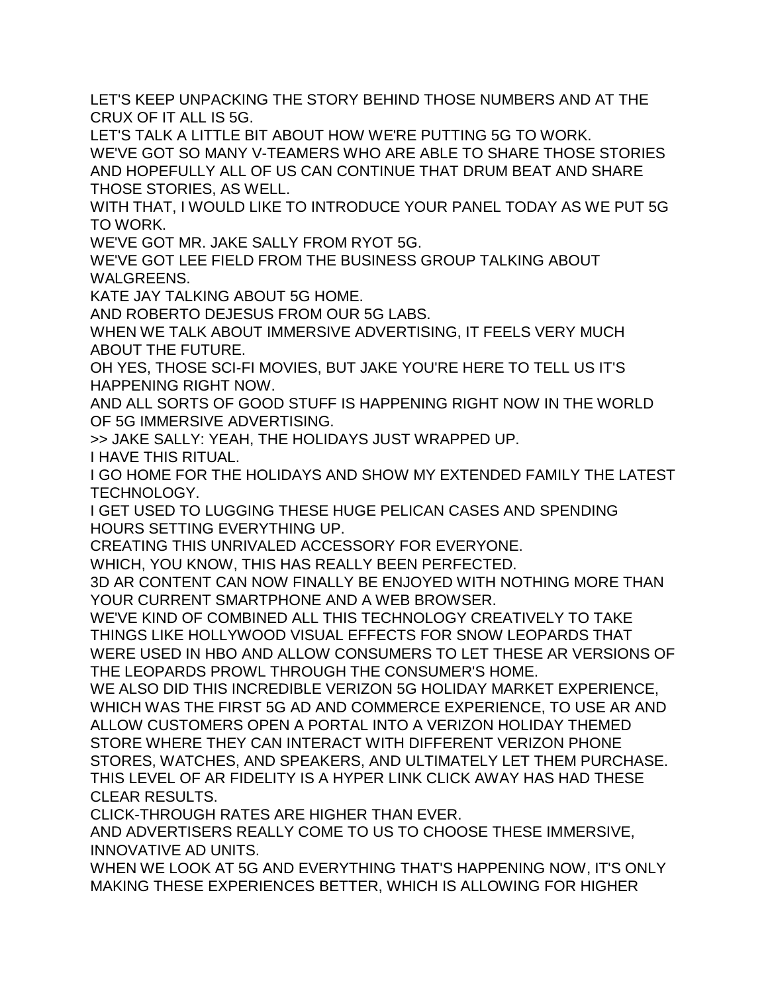LET'S KEEP UNPACKING THE STORY BEHIND THOSE NUMBERS AND AT THE CRUX OF IT ALL IS 5G.

LET'S TALK A LITTLE BIT ABOUT HOW WE'RE PUTTING 5G TO WORK. WE'VE GOT SO MANY V-TEAMERS WHO ARE ABLE TO SHARE THOSE STORIES AND HOPEFULLY ALL OF US CAN CONTINUE THAT DRUM BEAT AND SHARE THOSE STORIES, AS WELL.

WITH THAT, I WOULD LIKE TO INTRODUCE YOUR PANEL TODAY AS WE PUT 5G TO WORK.

WE'VE GOT MR. JAKE SALLY FROM RYOT 5G.

WE'VE GOT LEE FIELD FROM THE BUSINESS GROUP TALKING ABOUT WALGREENS.

KATE JAY TALKING ABOUT 5G HOME.

AND ROBERTO DEJESUS FROM OUR 5G LABS.

WHEN WE TALK ABOUT IMMERSIVE ADVERTISING, IT FEELS VERY MUCH ABOUT THE FUTURE.

OH YES, THOSE SCI-FI MOVIES, BUT JAKE YOU'RE HERE TO TELL US IT'S HAPPENING RIGHT NOW.

AND ALL SORTS OF GOOD STUFF IS HAPPENING RIGHT NOW IN THE WORLD OF 5G IMMERSIVE ADVERTISING.

>> JAKE SALLY: YEAH, THE HOLIDAYS JUST WRAPPED UP.

I HAVE THIS RITUAL.

I GO HOME FOR THE HOLIDAYS AND SHOW MY EXTENDED FAMILY THE LATEST TECHNOLOGY.

I GET USED TO LUGGING THESE HUGE PELICAN CASES AND SPENDING HOURS SETTING EVERYTHING UP.

CREATING THIS UNRIVALED ACCESSORY FOR EVERYONE.

WHICH, YOU KNOW, THIS HAS REALLY BEEN PERFECTED.

3D AR CONTENT CAN NOW FINALLY BE ENJOYED WITH NOTHING MORE THAN YOUR CURRENT SMARTPHONE AND A WEB BROWSER.

WE'VE KIND OF COMBINED ALL THIS TECHNOLOGY CREATIVELY TO TAKE THINGS LIKE HOLLYWOOD VISUAL EFFECTS FOR SNOW LEOPARDS THAT WERE USED IN HBO AND ALLOW CONSUMERS TO LET THESE AR VERSIONS OF THE LEOPARDS PROWL THROUGH THE CONSUMER'S HOME.

WE ALSO DID THIS INCREDIBLE VERIZON 5G HOLIDAY MARKET EXPERIENCE, WHICH WAS THE FIRST 5G AD AND COMMERCE EXPERIENCE, TO USE AR AND ALLOW CUSTOMERS OPEN A PORTAL INTO A VERIZON HOLIDAY THEMED STORE WHERE THEY CAN INTERACT WITH DIFFERENT VERIZON PHONE STORES, WATCHES, AND SPEAKERS, AND ULTIMATELY LET THEM PURCHASE. THIS LEVEL OF AR FIDELITY IS A HYPER LINK CLICK AWAY HAS HAD THESE CLEAR RESULTS.

CLICK-THROUGH RATES ARE HIGHER THAN EVER.

AND ADVERTISERS REALLY COME TO US TO CHOOSE THESE IMMERSIVE, INNOVATIVE AD UNITS.

WHEN WE LOOK AT 5G AND EVERYTHING THAT'S HAPPENING NOW, IT'S ONLY MAKING THESE EXPERIENCES BETTER, WHICH IS ALLOWING FOR HIGHER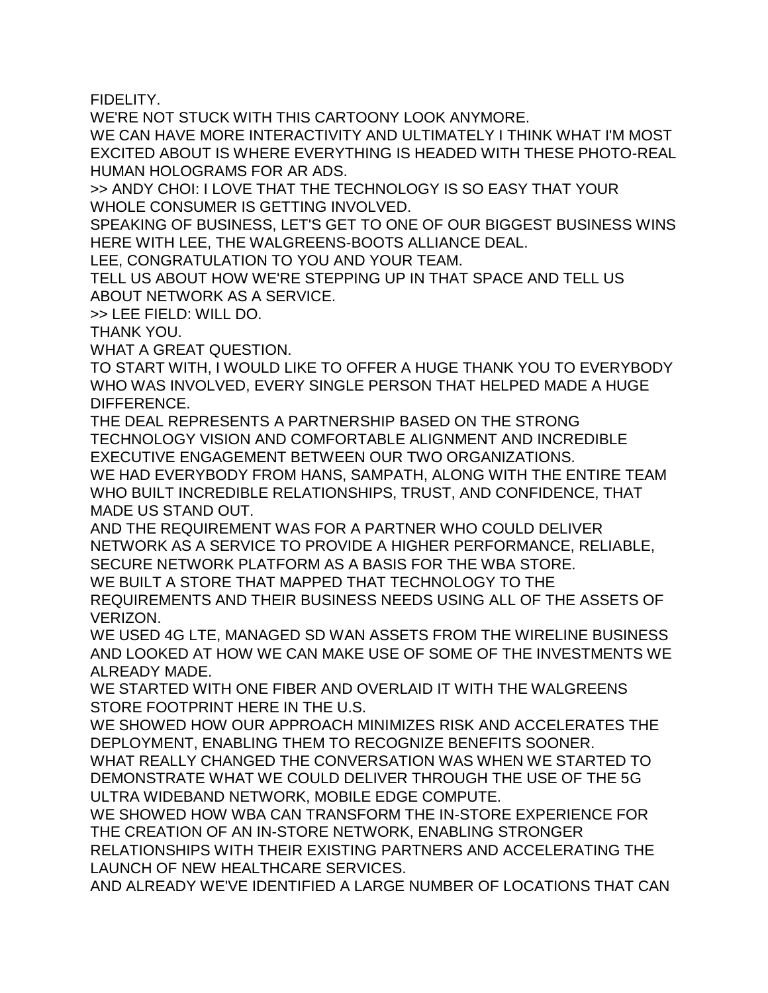FIDELITY.

WE'RE NOT STUCK WITH THIS CARTOONY LOOK ANYMORE.

WE CAN HAVE MORE INTERACTIVITY AND ULTIMATELY I THINK WHAT I'M MOST EXCITED ABOUT IS WHERE EVERYTHING IS HEADED WITH THESE PHOTO-REAL HUMAN HOLOGRAMS FOR AR ADS.

>> ANDY CHOI: I LOVE THAT THE TECHNOLOGY IS SO EASY THAT YOUR WHOLE CONSUMER IS GETTING INVOLVED.

SPEAKING OF BUSINESS, LET'S GET TO ONE OF OUR BIGGEST BUSINESS WINS HERE WITH LEE, THE WALGREENS-BOOTS ALLIANCE DEAL.

LEE, CONGRATULATION TO YOU AND YOUR TEAM.

TELL US ABOUT HOW WE'RE STEPPING UP IN THAT SPACE AND TELL US ABOUT NETWORK AS A SERVICE.

>> LEE FIELD: WILL DO.

THANK YOU.

WHAT A GREAT QUESTION.

TO START WITH, I WOULD LIKE TO OFFER A HUGE THANK YOU TO EVERYBODY WHO WAS INVOLVED, EVERY SINGLE PERSON THAT HELPED MADE A HUGE DIFFERENCE.

THE DEAL REPRESENTS A PARTNERSHIP BASED ON THE STRONG TECHNOLOGY VISION AND COMFORTABLE ALIGNMENT AND INCREDIBLE EXECUTIVE ENGAGEMENT BETWEEN OUR TWO ORGANIZATIONS.

WE HAD EVERYBODY FROM HANS, SAMPATH, ALONG WITH THE ENTIRE TEAM WHO BUILT INCREDIBLE RELATIONSHIPS, TRUST, AND CONFIDENCE, THAT MADE US STAND OUT.

AND THE REQUIREMENT WAS FOR A PARTNER WHO COULD DELIVER NETWORK AS A SERVICE TO PROVIDE A HIGHER PERFORMANCE, RELIABLE, SECURE NETWORK PLATFORM AS A BASIS FOR THE WBA STORE.

WE BUILT A STORE THAT MAPPED THAT TECHNOLOGY TO THE

REQUIREMENTS AND THEIR BUSINESS NEEDS USING ALL OF THE ASSETS OF VERIZON.

WE USED 4G LTE, MANAGED SD WAN ASSETS FROM THE WIRELINE BUSINESS AND LOOKED AT HOW WE CAN MAKE USE OF SOME OF THE INVESTMENTS WE ALREADY MADE.

WE STARTED WITH ONE FIBER AND OVERLAID IT WITH THE WALGREENS STORE FOOTPRINT HERE IN THE U.S.

WE SHOWED HOW OUR APPROACH MINIMIZES RISK AND ACCELERATES THE DEPLOYMENT, ENABLING THEM TO RECOGNIZE BENEFITS SOONER.

WHAT REALLY CHANGED THE CONVERSATION WAS WHEN WE STARTED TO DEMONSTRATE WHAT WE COULD DELIVER THROUGH THE USE OF THE 5G ULTRA WIDEBAND NETWORK, MOBILE EDGE COMPUTE.

WE SHOWED HOW WBA CAN TRANSFORM THE IN-STORE EXPERIENCE FOR THE CREATION OF AN IN-STORE NETWORK, ENABLING STRONGER

RELATIONSHIPS WITH THEIR EXISTING PARTNERS AND ACCELERATING THE LAUNCH OF NEW HEALTHCARE SERVICES.

AND ALREADY WE'VE IDENTIFIED A LARGE NUMBER OF LOCATIONS THAT CAN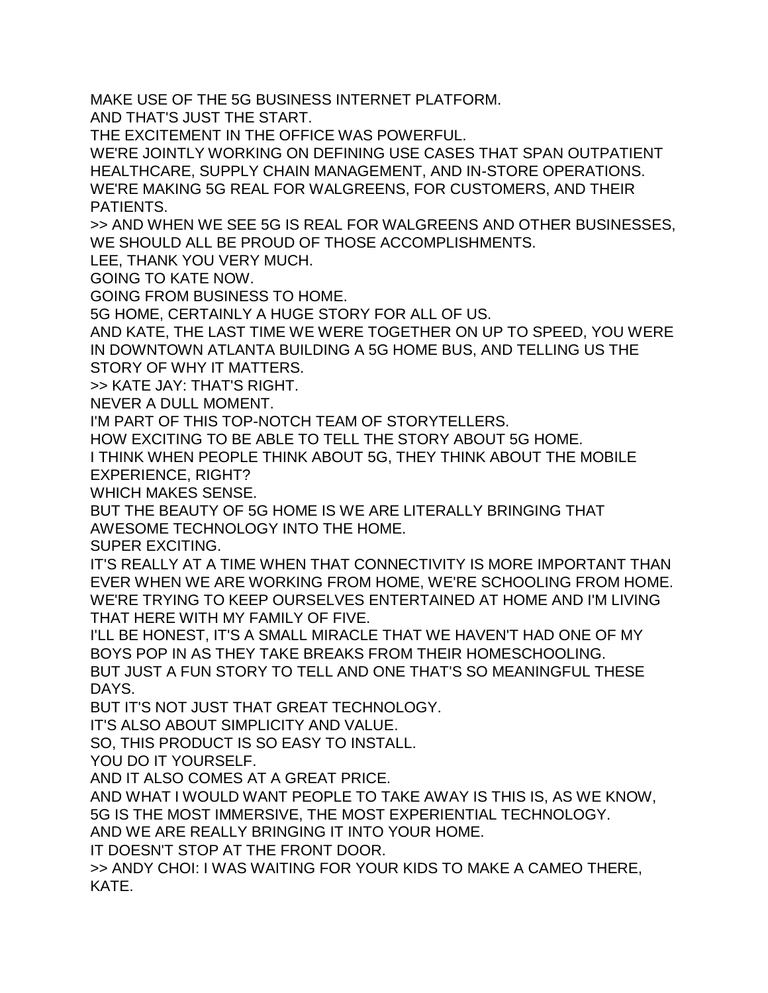MAKE USE OF THE 5G BUSINESS INTERNET PLATFORM.

AND THAT'S JUST THE START.

THE EXCITEMENT IN THE OFFICE WAS POWERFUL.

WE'RE JOINTLY WORKING ON DEFINING USE CASES THAT SPAN OUTPATIENT HEALTHCARE, SUPPLY CHAIN MANAGEMENT, AND IN-STORE OPERATIONS. WE'RE MAKING 5G REAL FOR WALGREENS, FOR CUSTOMERS, AND THEIR PATIENTS.

>> AND WHEN WE SEE 5G IS REAL FOR WALGREENS AND OTHER BUSINESSES, WE SHOULD ALL BE PROUD OF THOSE ACCOMPLISHMENTS.

LEE, THANK YOU VERY MUCH.

GOING TO KATE NOW.

GOING FROM BUSINESS TO HOME.

5G HOME, CERTAINLY A HUGE STORY FOR ALL OF US.

AND KATE, THE LAST TIME WE WERE TOGETHER ON UP TO SPEED, YOU WERE IN DOWNTOWN ATLANTA BUILDING A 5G HOME BUS, AND TELLING US THE STORY OF WHY IT MATTERS.

>> KATE JAY: THAT'S RIGHT.

NEVER A DULL MOMENT.

I'M PART OF THIS TOP-NOTCH TEAM OF STORYTELLERS.

HOW EXCITING TO BE ABLE TO TELL THE STORY ABOUT 5G HOME.

I THINK WHEN PEOPLE THINK ABOUT 5G, THEY THINK ABOUT THE MOBILE EXPERIENCE, RIGHT?

WHICH MAKES SENSE.

BUT THE BEAUTY OF 5G HOME IS WE ARE LITERALLY BRINGING THAT AWESOME TECHNOLOGY INTO THE HOME.

SUPER EXCITING.

IT'S REALLY AT A TIME WHEN THAT CONNECTIVITY IS MORE IMPORTANT THAN EVER WHEN WE ARE WORKING FROM HOME, WE'RE SCHOOLING FROM HOME. WE'RE TRYING TO KEEP OURSELVES ENTERTAINED AT HOME AND I'M LIVING THAT HERE WITH MY FAMILY OF FIVE.

I'LL BE HONEST, IT'S A SMALL MIRACLE THAT WE HAVEN'T HAD ONE OF MY BOYS POP IN AS THEY TAKE BREAKS FROM THEIR HOMESCHOOLING. BUT JUST A FUN STORY TO TELL AND ONE THAT'S SO MEANINGFUL THESE

DAYS.

BUT IT'S NOT JUST THAT GREAT TECHNOLOGY.

IT'S ALSO ABOUT SIMPLICITY AND VALUE.

SO, THIS PRODUCT IS SO EASY TO INSTALL.

YOU DO IT YOURSELF.

AND IT ALSO COMES AT A GREAT PRICE.

AND WHAT I WOULD WANT PEOPLE TO TAKE AWAY IS THIS IS, AS WE KNOW, 5G IS THE MOST IMMERSIVE, THE MOST EXPERIENTIAL TECHNOLOGY.

AND WE ARE REALLY BRINGING IT INTO YOUR HOME.

IT DOESN'T STOP AT THE FRONT DOOR.

>> ANDY CHOI: I WAS WAITING FOR YOUR KIDS TO MAKE A CAMEO THERE, KATE.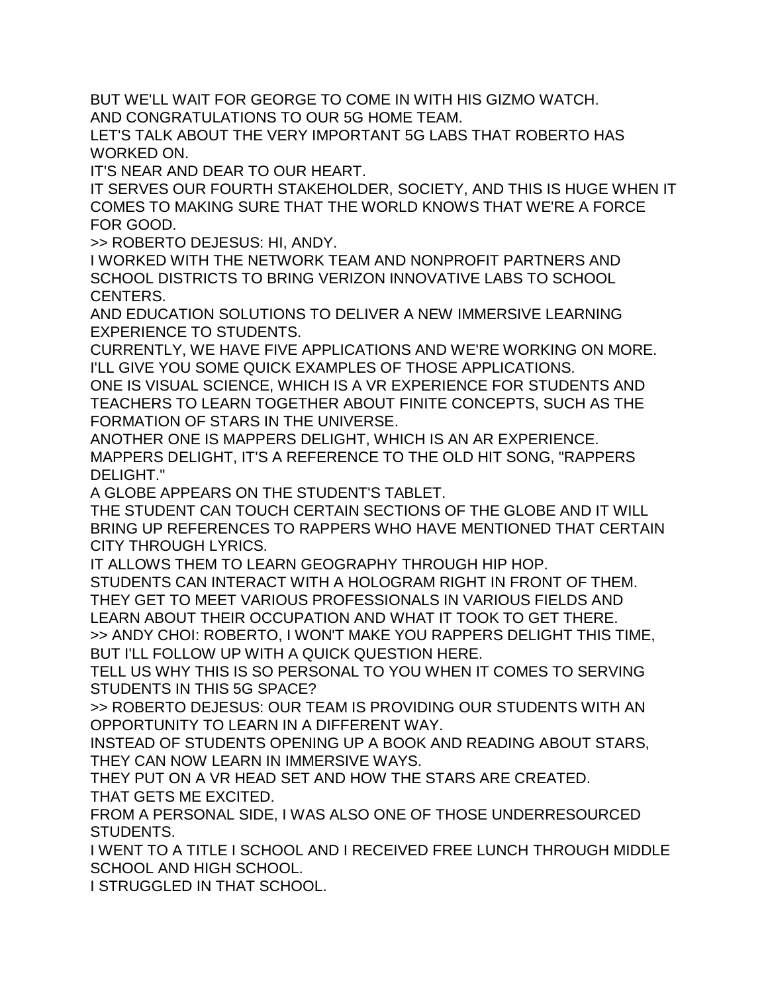BUT WE'LL WAIT FOR GEORGE TO COME IN WITH HIS GIZMO WATCH. AND CONGRATULATIONS TO OUR 5G HOME TEAM.

LET'S TALK ABOUT THE VERY IMPORTANT 5G LABS THAT ROBERTO HAS WORKED ON.

IT'S NEAR AND DEAR TO OUR HEART.

IT SERVES OUR FOURTH STAKEHOLDER, SOCIETY, AND THIS IS HUGE WHEN IT COMES TO MAKING SURE THAT THE WORLD KNOWS THAT WE'RE A FORCE FOR GOOD.

>> ROBERTO DEJESUS: HI, ANDY.

I WORKED WITH THE NETWORK TEAM AND NONPROFIT PARTNERS AND SCHOOL DISTRICTS TO BRING VERIZON INNOVATIVE LABS TO SCHOOL CENTERS.

AND EDUCATION SOLUTIONS TO DELIVER A NEW IMMERSIVE LEARNING EXPERIENCE TO STUDENTS.

CURRENTLY, WE HAVE FIVE APPLICATIONS AND WE'RE WORKING ON MORE. I'LL GIVE YOU SOME QUICK EXAMPLES OF THOSE APPLICATIONS.

ONE IS VISUAL SCIENCE, WHICH IS A VR EXPERIENCE FOR STUDENTS AND TEACHERS TO LEARN TOGETHER ABOUT FINITE CONCEPTS, SUCH AS THE FORMATION OF STARS IN THE UNIVERSE.

ANOTHER ONE IS MAPPERS DELIGHT, WHICH IS AN AR EXPERIENCE. MAPPERS DELIGHT, IT'S A REFERENCE TO THE OLD HIT SONG, "RAPPERS DELIGHT."

A GLOBE APPEARS ON THE STUDENT'S TABLET.

THE STUDENT CAN TOUCH CERTAIN SECTIONS OF THE GLOBE AND IT WILL BRING UP REFERENCES TO RAPPERS WHO HAVE MENTIONED THAT CERTAIN CITY THROUGH LYRICS.

IT ALLOWS THEM TO LEARN GEOGRAPHY THROUGH HIP HOP.

STUDENTS CAN INTERACT WITH A HOLOGRAM RIGHT IN FRONT OF THEM. THEY GET TO MEET VARIOUS PROFESSIONALS IN VARIOUS FIELDS AND LEARN ABOUT THEIR OCCUPATION AND WHAT IT TOOK TO GET THERE. >> ANDY CHOI: ROBERTO, I WON'T MAKE YOU RAPPERS DELIGHT THIS TIME, BUT I'LL FOLLOW UP WITH A QUICK QUESTION HERE.

TELL US WHY THIS IS SO PERSONAL TO YOU WHEN IT COMES TO SERVING STUDENTS IN THIS 5G SPACE?

>> ROBERTO DEJESUS: OUR TEAM IS PROVIDING OUR STUDENTS WITH AN OPPORTUNITY TO LEARN IN A DIFFERENT WAY.

INSTEAD OF STUDENTS OPENING UP A BOOK AND READING ABOUT STARS, THEY CAN NOW LEARN IN IMMERSIVE WAYS.

THEY PUT ON A VR HEAD SET AND HOW THE STARS ARE CREATED. THAT GETS ME EXCITED.

FROM A PERSONAL SIDE, I WAS ALSO ONE OF THOSE UNDERRESOURCED STUDENTS.

I WENT TO A TITLE I SCHOOL AND I RECEIVED FREE LUNCH THROUGH MIDDLE SCHOOL AND HIGH SCHOOL.

I STRUGGLED IN THAT SCHOOL.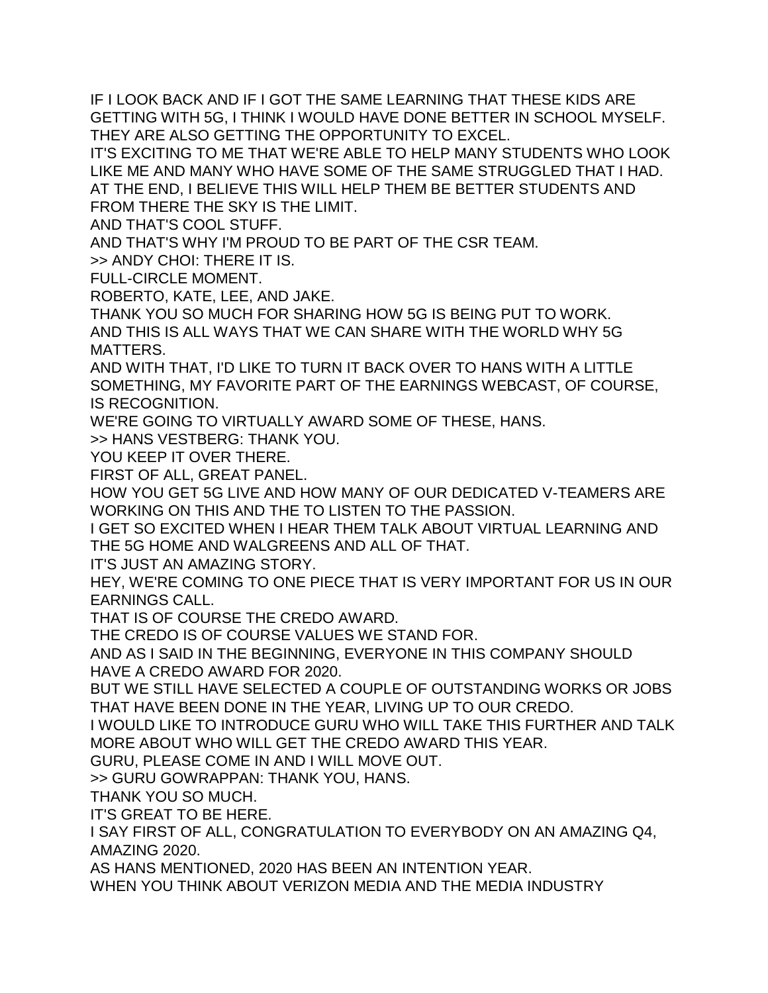IF I LOOK BACK AND IF I GOT THE SAME LEARNING THAT THESE KIDS ARE GETTING WITH 5G, I THINK I WOULD HAVE DONE BETTER IN SCHOOL MYSELF. THEY ARE ALSO GETTING THE OPPORTUNITY TO EXCEL.

IT'S EXCITING TO ME THAT WE'RE ABLE TO HELP MANY STUDENTS WHO LOOK LIKE ME AND MANY WHO HAVE SOME OF THE SAME STRUGGLED THAT I HAD. AT THE END, I BELIEVE THIS WILL HELP THEM BE BETTER STUDENTS AND FROM THERE THE SKY IS THE LIMIT.

AND THAT'S COOL STUFF.

AND THAT'S WHY I'M PROUD TO BE PART OF THE CSR TEAM.

>> ANDY CHOI: THERE IT IS.

FULL-CIRCLE MOMENT.

ROBERTO, KATE, LEE, AND JAKE.

THANK YOU SO MUCH FOR SHARING HOW 5G IS BEING PUT TO WORK. AND THIS IS ALL WAYS THAT WE CAN SHARE WITH THE WORLD WHY 5G MATTERS.

AND WITH THAT, I'D LIKE TO TURN IT BACK OVER TO HANS WITH A LITTLE SOMETHING, MY FAVORITE PART OF THE EARNINGS WEBCAST, OF COURSE, IS RECOGNITION.

WE'RE GOING TO VIRTUALLY AWARD SOME OF THESE, HANS.

>> HANS VESTBERG: THANK YOU.

YOU KEEP IT OVER THERE.

FIRST OF ALL, GREAT PANEL.

HOW YOU GET 5G LIVE AND HOW MANY OF OUR DEDICATED V-TEAMERS ARE WORKING ON THIS AND THE TO LISTEN TO THE PASSION.

I GET SO EXCITED WHEN I HEAR THEM TALK ABOUT VIRTUAL LEARNING AND THE 5G HOME AND WALGREENS AND ALL OF THAT.

IT'S JUST AN AMAZING STORY.

HEY, WE'RE COMING TO ONE PIECE THAT IS VERY IMPORTANT FOR US IN OUR EARNINGS CALL.

THAT IS OF COURSE THE CREDO AWARD.

THE CREDO IS OF COURSE VALUES WE STAND FOR.

AND AS I SAID IN THE BEGINNING, EVERYONE IN THIS COMPANY SHOULD HAVE A CREDO AWARD FOR 2020.

BUT WE STILL HAVE SELECTED A COUPLE OF OUTSTANDING WORKS OR JOBS THAT HAVE BEEN DONE IN THE YEAR, LIVING UP TO OUR CREDO.

I WOULD LIKE TO INTRODUCE GURU WHO WILL TAKE THIS FURTHER AND TALK MORE ABOUT WHO WILL GET THE CREDO AWARD THIS YEAR.

GURU, PLEASE COME IN AND I WILL MOVE OUT.

>> GURU GOWRAPPAN: THANK YOU, HANS.

THANK YOU SO MUCH.

IT'S GREAT TO BE HERE.

I SAY FIRST OF ALL, CONGRATULATION TO EVERYBODY ON AN AMAZING Q4, AMAZING 2020.

AS HANS MENTIONED, 2020 HAS BEEN AN INTENTION YEAR.

WHEN YOU THINK ABOUT VERIZON MEDIA AND THE MEDIA INDUSTRY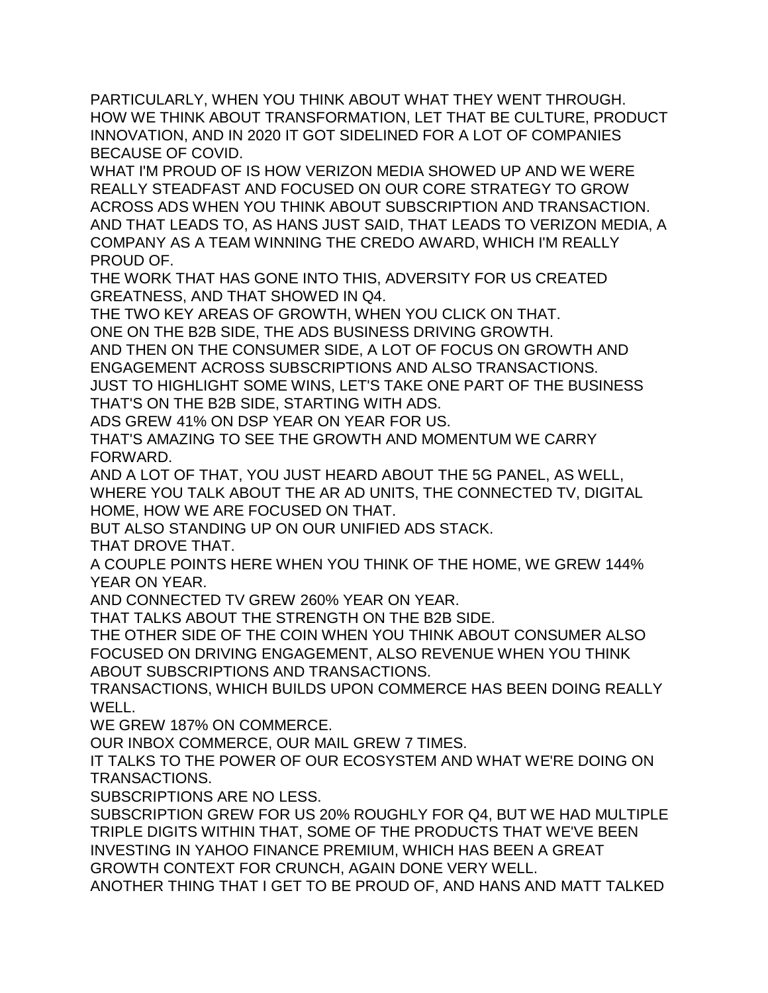PARTICULARLY, WHEN YOU THINK ABOUT WHAT THEY WENT THROUGH. HOW WE THINK ABOUT TRANSFORMATION, LET THAT BE CULTURE, PRODUCT INNOVATION, AND IN 2020 IT GOT SIDELINED FOR A LOT OF COMPANIES BECAUSE OF COVID.

WHAT I'M PROUD OF IS HOW VERIZON MEDIA SHOWED UP AND WE WERE REALLY STEADFAST AND FOCUSED ON OUR CORE STRATEGY TO GROW ACROSS ADS WHEN YOU THINK ABOUT SUBSCRIPTION AND TRANSACTION. AND THAT LEADS TO, AS HANS JUST SAID, THAT LEADS TO VERIZON MEDIA, A COMPANY AS A TEAM WINNING THE CREDO AWARD, WHICH I'M REALLY PROUD OF.

THE WORK THAT HAS GONE INTO THIS, ADVERSITY FOR US CREATED GREATNESS, AND THAT SHOWED IN Q4.

THE TWO KEY AREAS OF GROWTH, WHEN YOU CLICK ON THAT. ONE ON THE B2B SIDE, THE ADS BUSINESS DRIVING GROWTH.

AND THEN ON THE CONSUMER SIDE, A LOT OF FOCUS ON GROWTH AND ENGAGEMENT ACROSS SUBSCRIPTIONS AND ALSO TRANSACTIONS. JUST TO HIGHLIGHT SOME WINS, LET'S TAKE ONE PART OF THE BUSINESS

THAT'S ON THE B2B SIDE, STARTING WITH ADS.

ADS GREW 41% ON DSP YEAR ON YEAR FOR US.

THAT'S AMAZING TO SEE THE GROWTH AND MOMENTUM WE CARRY FORWARD.

AND A LOT OF THAT, YOU JUST HEARD ABOUT THE 5G PANEL, AS WELL, WHERE YOU TALK ABOUT THE AR AD UNITS, THE CONNECTED TV, DIGITAL HOME, HOW WE ARE FOCUSED ON THAT.

BUT ALSO STANDING UP ON OUR UNIFIED ADS STACK.

THAT DROVE THAT.

A COUPLE POINTS HERE WHEN YOU THINK OF THE HOME, WE GREW 144% YEAR ON YEAR.

AND CONNECTED TV GREW 260% YEAR ON YEAR.

THAT TALKS ABOUT THE STRENGTH ON THE B2B SIDE.

THE OTHER SIDE OF THE COIN WHEN YOU THINK ABOUT CONSUMER ALSO FOCUSED ON DRIVING ENGAGEMENT, ALSO REVENUE WHEN YOU THINK ABOUT SUBSCRIPTIONS AND TRANSACTIONS.

TRANSACTIONS, WHICH BUILDS UPON COMMERCE HAS BEEN DOING REALLY WELL.

WE GREW 187% ON COMMERCE.

OUR INBOX COMMERCE, OUR MAIL GREW 7 TIMES.

IT TALKS TO THE POWER OF OUR ECOSYSTEM AND WHAT WE'RE DOING ON TRANSACTIONS.

SUBSCRIPTIONS ARE NO LESS.

SUBSCRIPTION GREW FOR US 20% ROUGHLY FOR Q4, BUT WE HAD MULTIPLE TRIPLE DIGITS WITHIN THAT, SOME OF THE PRODUCTS THAT WE'VE BEEN INVESTING IN YAHOO FINANCE PREMIUM, WHICH HAS BEEN A GREAT GROWTH CONTEXT FOR CRUNCH, AGAIN DONE VERY WELL. ANOTHER THING THAT I GET TO BE PROUD OF, AND HANS AND MATT TALKED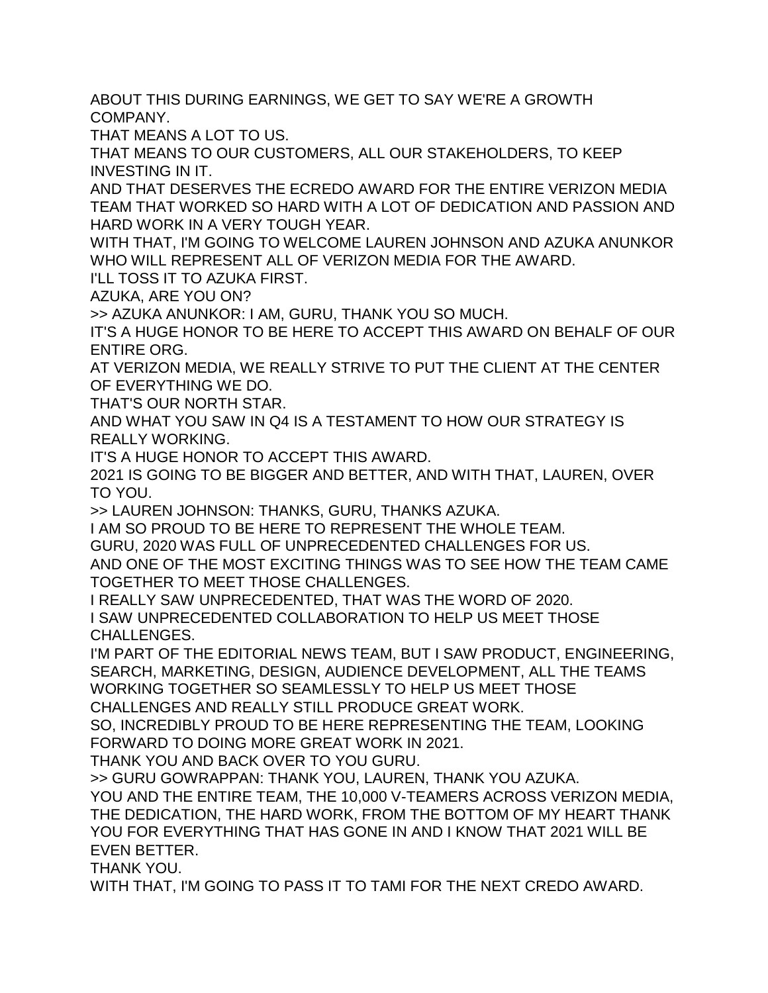ABOUT THIS DURING EARNINGS, WE GET TO SAY WE'RE A GROWTH COMPANY.

THAT MEANS A LOT TO US.

THAT MEANS TO OUR CUSTOMERS, ALL OUR STAKEHOLDERS, TO KEEP INVESTING IN IT.

AND THAT DESERVES THE ECREDO AWARD FOR THE ENTIRE VERIZON MEDIA TEAM THAT WORKED SO HARD WITH A LOT OF DEDICATION AND PASSION AND HARD WORK IN A VERY TOUGH YEAR.

WITH THAT, I'M GOING TO WELCOME LAUREN JOHNSON AND AZUKA ANUNKOR WHO WILL REPRESENT ALL OF VERIZON MEDIA FOR THE AWARD.

I'LL TOSS IT TO AZUKA FIRST.

AZUKA, ARE YOU ON?

>> AZUKA ANUNKOR: I AM, GURU, THANK YOU SO MUCH.

IT'S A HUGE HONOR TO BE HERE TO ACCEPT THIS AWARD ON BEHALF OF OUR ENTIRE ORG.

AT VERIZON MEDIA, WE REALLY STRIVE TO PUT THE CLIENT AT THE CENTER OF EVERYTHING WE DO.

THAT'S OUR NORTH STAR.

AND WHAT YOU SAW IN Q4 IS A TESTAMENT TO HOW OUR STRATEGY IS REALLY WORKING.

IT'S A HUGE HONOR TO ACCEPT THIS AWARD.

2021 IS GOING TO BE BIGGER AND BETTER, AND WITH THAT, LAUREN, OVER TO YOU.

>> LAUREN JOHNSON: THANKS, GURU, THANKS AZUKA.

I AM SO PROUD TO BE HERE TO REPRESENT THE WHOLE TEAM.

GURU, 2020 WAS FULL OF UNPRECEDENTED CHALLENGES FOR US.

AND ONE OF THE MOST EXCITING THINGS WAS TO SEE HOW THE TEAM CAME TOGETHER TO MEET THOSE CHALLENGES.

I REALLY SAW UNPRECEDENTED, THAT WAS THE WORD OF 2020. I SAW UNPRECEDENTED COLLABORATION TO HELP US MEET THOSE CHALLENGES.

I'M PART OF THE EDITORIAL NEWS TEAM, BUT I SAW PRODUCT, ENGINEERING, SEARCH, MARKETING, DESIGN, AUDIENCE DEVELOPMENT, ALL THE TEAMS WORKING TOGETHER SO SEAMLESSLY TO HELP US MEET THOSE

CHALLENGES AND REALLY STILL PRODUCE GREAT WORK.

SO, INCREDIBLY PROUD TO BE HERE REPRESENTING THE TEAM, LOOKING FORWARD TO DOING MORE GREAT WORK IN 2021.

THANK YOU AND BACK OVER TO YOU GURU.

>> GURU GOWRAPPAN: THANK YOU, LAUREN, THANK YOU AZUKA. YOU AND THE ENTIRE TEAM, THE 10,000 V-TEAMERS ACROSS VERIZON MEDIA, THE DEDICATION, THE HARD WORK, FROM THE BOTTOM OF MY HEART THANK YOU FOR EVERYTHING THAT HAS GONE IN AND I KNOW THAT 2021 WILL BE EVEN BETTER.

THANK YOU.

WITH THAT, I'M GOING TO PASS IT TO TAMI FOR THE NEXT CREDO AWARD.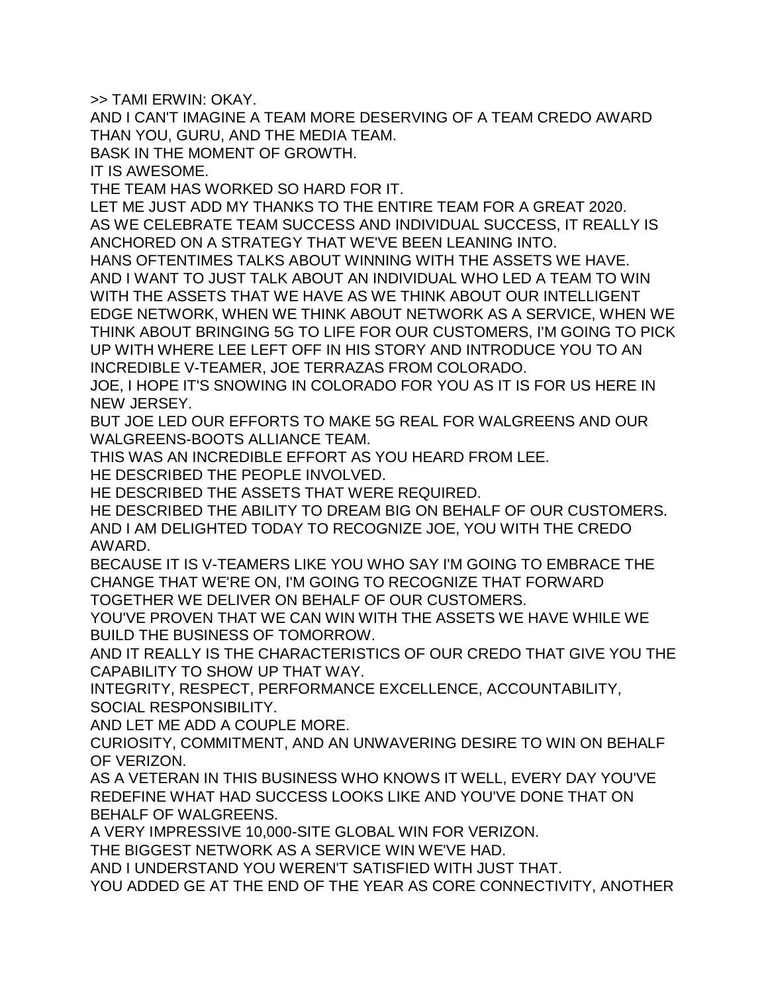>> TAMI ERWIN: OKAY.

AND I CAN'T IMAGINE A TEAM MORE DESERVING OF A TEAM CREDO AWARD THAN YOU, GURU, AND THE MEDIA TEAM.

BASK IN THE MOMENT OF GROWTH.

IT IS AWESOME.

THE TEAM HAS WORKED SO HARD FOR IT.

LET ME JUST ADD MY THANKS TO THE ENTIRE TEAM FOR A GREAT 2020. AS WE CELEBRATE TEAM SUCCESS AND INDIVIDUAL SUCCESS, IT REALLY IS ANCHORED ON A STRATEGY THAT WE'VE BEEN LEANING INTO.

HANS OFTENTIMES TALKS ABOUT WINNING WITH THE ASSETS WE HAVE. AND I WANT TO JUST TALK ABOUT AN INDIVIDUAL WHO LED A TEAM TO WIN WITH THE ASSETS THAT WE HAVE AS WE THINK ABOUT OUR INTELLIGENT EDGE NETWORK, WHEN WE THINK ABOUT NETWORK AS A SERVICE, WHEN WE THINK ABOUT BRINGING 5G TO LIFE FOR OUR CUSTOMERS, I'M GOING TO PICK UP WITH WHERE LEE LEFT OFF IN HIS STORY AND INTRODUCE YOU TO AN INCREDIBLE V-TEAMER, JOE TERRAZAS FROM COLORADO.

JOE, I HOPE IT'S SNOWING IN COLORADO FOR YOU AS IT IS FOR US HERE IN NEW JERSEY.

BUT JOE LED OUR EFFORTS TO MAKE 5G REAL FOR WALGREENS AND OUR WALGREENS-BOOTS ALLIANCE TEAM.

THIS WAS AN INCREDIBLE EFFORT AS YOU HEARD FROM LEE.

HE DESCRIBED THE PEOPLE INVOLVED.

HE DESCRIBED THE ASSETS THAT WERE REQUIRED.

HE DESCRIBED THE ABILITY TO DREAM BIG ON BEHALF OF OUR CUSTOMERS. AND I AM DELIGHTED TODAY TO RECOGNIZE JOE, YOU WITH THE CREDO AWARD.

BECAUSE IT IS V-TEAMERS LIKE YOU WHO SAY I'M GOING TO EMBRACE THE CHANGE THAT WE'RE ON, I'M GOING TO RECOGNIZE THAT FORWARD TOGETHER WE DELIVER ON BEHALF OF OUR CUSTOMERS.

YOU'VE PROVEN THAT WE CAN WIN WITH THE ASSETS WE HAVE WHILE WE BUILD THE BUSINESS OF TOMORROW.

AND IT REALLY IS THE CHARACTERISTICS OF OUR CREDO THAT GIVE YOU THE CAPABILITY TO SHOW UP THAT WAY.

INTEGRITY, RESPECT, PERFORMANCE EXCELLENCE, ACCOUNTABILITY, SOCIAL RESPONSIBILITY.

AND LET ME ADD A COUPLE MORE.

CURIOSITY, COMMITMENT, AND AN UNWAVERING DESIRE TO WIN ON BEHALF OF VERIZON.

AS A VETERAN IN THIS BUSINESS WHO KNOWS IT WELL, EVERY DAY YOU'VE REDEFINE WHAT HAD SUCCESS LOOKS LIKE AND YOU'VE DONE THAT ON BEHALF OF WALGREENS.

A VERY IMPRESSIVE 10,000-SITE GLOBAL WIN FOR VERIZON.

THE BIGGEST NETWORK AS A SERVICE WIN WE'VE HAD.

AND I UNDERSTAND YOU WEREN'T SATISFIED WITH JUST THAT.

YOU ADDED GE AT THE END OF THE YEAR AS CORE CONNECTIVITY, ANOTHER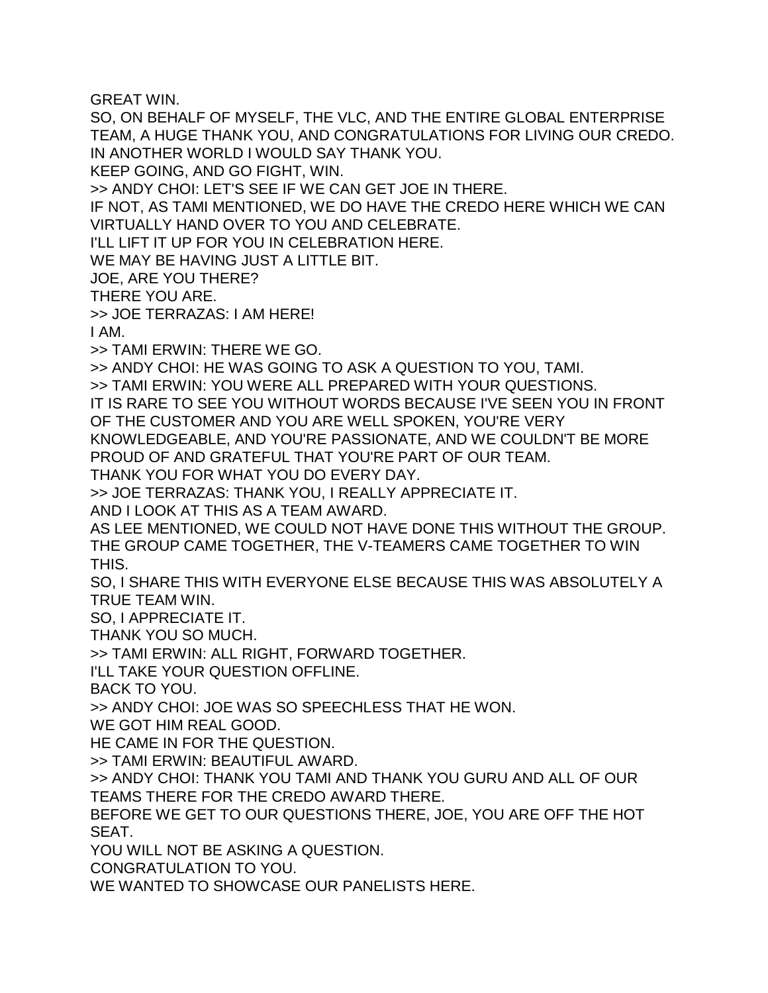GREAT WIN.

SO, ON BEHALF OF MYSELF, THE VLC, AND THE ENTIRE GLOBAL ENTERPRISE TEAM, A HUGE THANK YOU, AND CONGRATULATIONS FOR LIVING OUR CREDO. IN ANOTHER WORLD I WOULD SAY THANK YOU.

KEEP GOING, AND GO FIGHT, WIN.

>> ANDY CHOI: LET'S SEE IF WE CAN GET JOE IN THERE.

IF NOT, AS TAMI MENTIONED, WE DO HAVE THE CREDO HERE WHICH WE CAN VIRTUALLY HAND OVER TO YOU AND CELEBRATE.

I'LL LIFT IT UP FOR YOU IN CELEBRATION HERE.

WE MAY BE HAVING JUST A LITTLE BIT.

JOE, ARE YOU THERE?

THERE YOU ARE.

>> JOE TERRAZAS: I AM HERE!

I AM.

>> TAMI ERWIN: THERE WE GO.

>> ANDY CHOI: HE WAS GOING TO ASK A QUESTION TO YOU, TAMI.

>> TAMI ERWIN: YOU WERE ALL PREPARED WITH YOUR QUESTIONS.

IT IS RARE TO SEE YOU WITHOUT WORDS BECAUSE I'VE SEEN YOU IN FRONT OF THE CUSTOMER AND YOU ARE WELL SPOKEN, YOU'RE VERY

KNOWLEDGEABLE, AND YOU'RE PASSIONATE, AND WE COULDN'T BE MORE PROUD OF AND GRATEFUL THAT YOU'RE PART OF OUR TEAM.

THANK YOU FOR WHAT YOU DO EVERY DAY.

>> JOE TERRAZAS: THANK YOU, I REALLY APPRECIATE IT.

AND I LOOK AT THIS AS A TEAM AWARD.

AS LEE MENTIONED, WE COULD NOT HAVE DONE THIS WITHOUT THE GROUP. THE GROUP CAME TOGETHER, THE V-TEAMERS CAME TOGETHER TO WIN THIS.

SO, I SHARE THIS WITH EVERYONE ELSE BECAUSE THIS WAS ABSOLUTELY A TRUE TEAM WIN.

SO, I APPRECIATE IT.

THANK YOU SO MUCH.

>> TAMI ERWIN: ALL RIGHT, FORWARD TOGETHER.

I'LL TAKE YOUR QUESTION OFFLINE.

BACK TO YOU.

>> ANDY CHOI: JOE WAS SO SPEECHLESS THAT HE WON.

WE GOT HIM REAL GOOD.

HE CAME IN FOR THE QUESTION.

>> TAMI ERWIN: BEAUTIFUL AWARD.

>> ANDY CHOI: THANK YOU TAMI AND THANK YOU GURU AND ALL OF OUR TEAMS THERE FOR THE CREDO AWARD THERE.

BEFORE WE GET TO OUR QUESTIONS THERE, JOE, YOU ARE OFF THE HOT SEAT.

YOU WILL NOT BE ASKING A QUESTION.

CONGRATULATION TO YOU.

WE WANTED TO SHOWCASE OUR PANELISTS HERE.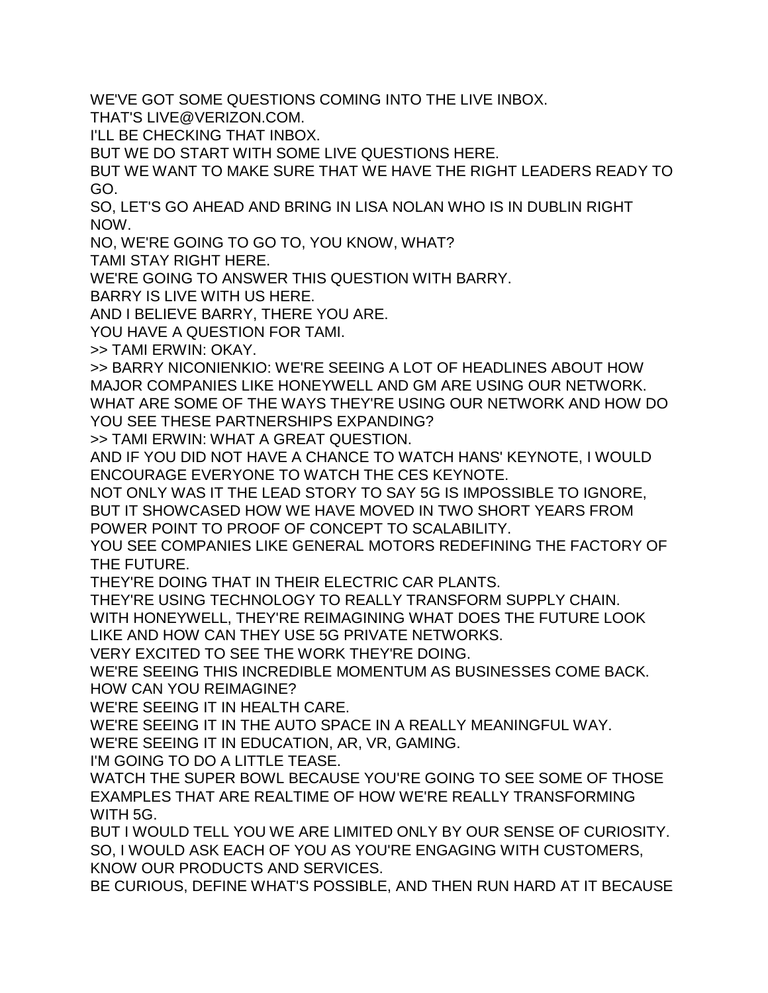WE'VE GOT SOME QUESTIONS COMING INTO THE LIVE INBOX.

THAT'S LIVE@VERIZON.COM.

I'LL BE CHECKING THAT INBOX.

BUT WE DO START WITH SOME LIVE QUESTIONS HERE.

BUT WE WANT TO MAKE SURE THAT WE HAVE THE RIGHT LEADERS READY TO GO.

SO, LET'S GO AHEAD AND BRING IN LISA NOLAN WHO IS IN DUBLIN RIGHT NOW.

NO, WE'RE GOING TO GO TO, YOU KNOW, WHAT?

TAMI STAY RIGHT HERE.

WE'RE GOING TO ANSWER THIS QUESTION WITH BARRY.

BARRY IS LIVE WITH US HERE.

AND I BELIEVE BARRY, THERE YOU ARE.

YOU HAVE A QUESTION FOR TAMI.

>> TAMI ERWIN: OKAY.

>> BARRY NICONIENKIO: WE'RE SEEING A LOT OF HEADLINES ABOUT HOW MAJOR COMPANIES LIKE HONEYWELL AND GM ARE USING OUR NETWORK. WHAT ARE SOME OF THE WAYS THEY'RE USING OUR NETWORK AND HOW DO YOU SEE THESE PARTNERSHIPS EXPANDING?

>> TAMI ERWIN: WHAT A GREAT QUESTION.

AND IF YOU DID NOT HAVE A CHANCE TO WATCH HANS' KEYNOTE, I WOULD ENCOURAGE EVERYONE TO WATCH THE CES KEYNOTE.

NOT ONLY WAS IT THE LEAD STORY TO SAY 5G IS IMPOSSIBLE TO IGNORE, BUT IT SHOWCASED HOW WE HAVE MOVED IN TWO SHORT YEARS FROM POWER POINT TO PROOF OF CONCEPT TO SCALABILITY.

YOU SEE COMPANIES LIKE GENERAL MOTORS REDEFINING THE FACTORY OF THE FUTURE.

THEY'RE DOING THAT IN THEIR ELECTRIC CAR PLANTS.

THEY'RE USING TECHNOLOGY TO REALLY TRANSFORM SUPPLY CHAIN. WITH HONEYWELL, THEY'RE REIMAGINING WHAT DOES THE FUTURE LOOK LIKE AND HOW CAN THEY USE 5G PRIVATE NETWORKS.

VERY EXCITED TO SEE THE WORK THEY'RE DOING.

WE'RE SEEING THIS INCREDIBLE MOMENTUM AS BUSINESSES COME BACK. HOW CAN YOU REIMAGINE?

WE'RE SEEING IT IN HEALTH CARE.

WE'RE SEEING IT IN THE AUTO SPACE IN A REALLY MEANINGFUL WAY.

WE'RE SEEING IT IN EDUCATION, AR, VR, GAMING.

I'M GOING TO DO A LITTLE TEASE.

WATCH THE SUPER BOWL BECAUSE YOU'RE GOING TO SEE SOME OF THOSE EXAMPLES THAT ARE REALTIME OF HOW WE'RE REALLY TRANSFORMING WITH 5G.

BUT I WOULD TELL YOU WE ARE LIMITED ONLY BY OUR SENSE OF CURIOSITY. SO, I WOULD ASK EACH OF YOU AS YOU'RE ENGAGING WITH CUSTOMERS, KNOW OUR PRODUCTS AND SERVICES.

BE CURIOUS, DEFINE WHAT'S POSSIBLE, AND THEN RUN HARD AT IT BECAUSE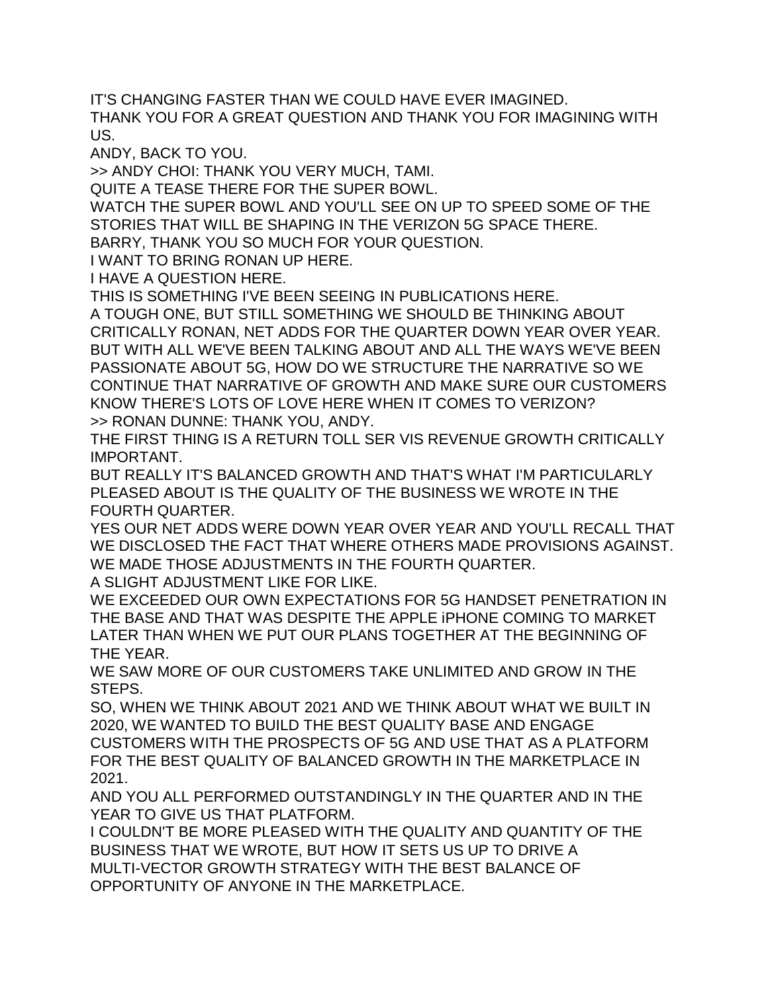IT'S CHANGING FASTER THAN WE COULD HAVE EVER IMAGINED. THANK YOU FOR A GREAT QUESTION AND THANK YOU FOR IMAGINING WITH US.

ANDY, BACK TO YOU.

>> ANDY CHOI: THANK YOU VERY MUCH, TAMI.

QUITE A TEASE THERE FOR THE SUPER BOWL.

WATCH THE SUPER BOWL AND YOU'LL SEE ON UP TO SPEED SOME OF THE STORIES THAT WILL BE SHAPING IN THE VERIZON 5G SPACE THERE.

BARRY, THANK YOU SO MUCH FOR YOUR QUESTION.

I WANT TO BRING RONAN UP HERE.

I HAVE A QUESTION HERE.

THIS IS SOMETHING I'VE BEEN SEEING IN PUBLICATIONS HERE.

A TOUGH ONE, BUT STILL SOMETHING WE SHOULD BE THINKING ABOUT CRITICALLY RONAN, NET ADDS FOR THE QUARTER DOWN YEAR OVER YEAR. BUT WITH ALL WE'VE BEEN TALKING ABOUT AND ALL THE WAYS WE'VE BEEN PASSIONATE ABOUT 5G, HOW DO WE STRUCTURE THE NARRATIVE SO WE CONTINUE THAT NARRATIVE OF GROWTH AND MAKE SURE OUR CUSTOMERS KNOW THERE'S LOTS OF LOVE HERE WHEN IT COMES TO VERIZON? >> RONAN DUNNE: THANK YOU, ANDY.

THE FIRST THING IS A RETURN TOLL SER VIS REVENUE GROWTH CRITICALLY IMPORTANT.

BUT REALLY IT'S BALANCED GROWTH AND THAT'S WHAT I'M PARTICULARLY PLEASED ABOUT IS THE QUALITY OF THE BUSINESS WE WROTE IN THE FOURTH QUARTER.

YES OUR NET ADDS WERE DOWN YEAR OVER YEAR AND YOU'LL RECALL THAT WE DISCLOSED THE FACT THAT WHERE OTHERS MADE PROVISIONS AGAINST. WE MADE THOSE ADJUSTMENTS IN THE FOURTH QUARTER.

A SLIGHT ADJUSTMENT LIKE FOR LIKE.

WE EXCEEDED OUR OWN EXPECTATIONS FOR 5G HANDSET PENETRATION IN THE BASE AND THAT WAS DESPITE THE APPLE iPHONE COMING TO MARKET LATER THAN WHEN WE PUT OUR PLANS TOGETHER AT THE BEGINNING OF THE YEAR.

WE SAW MORE OF OUR CUSTOMERS TAKE UNLIMITED AND GROW IN THE STEPS.

SO, WHEN WE THINK ABOUT 2021 AND WE THINK ABOUT WHAT WE BUILT IN 2020, WE WANTED TO BUILD THE BEST QUALITY BASE AND ENGAGE CUSTOMERS WITH THE PROSPECTS OF 5G AND USE THAT AS A PLATFORM FOR THE BEST QUALITY OF BALANCED GROWTH IN THE MARKETPLACE IN 2021.

AND YOU ALL PERFORMED OUTSTANDINGLY IN THE QUARTER AND IN THE YEAR TO GIVE US THAT PLATFORM.

I COULDN'T BE MORE PLEASED WITH THE QUALITY AND QUANTITY OF THE BUSINESS THAT WE WROTE, BUT HOW IT SETS US UP TO DRIVE A MULTI-VECTOR GROWTH STRATEGY WITH THE BEST BALANCE OF OPPORTUNITY OF ANYONE IN THE MARKETPLACE.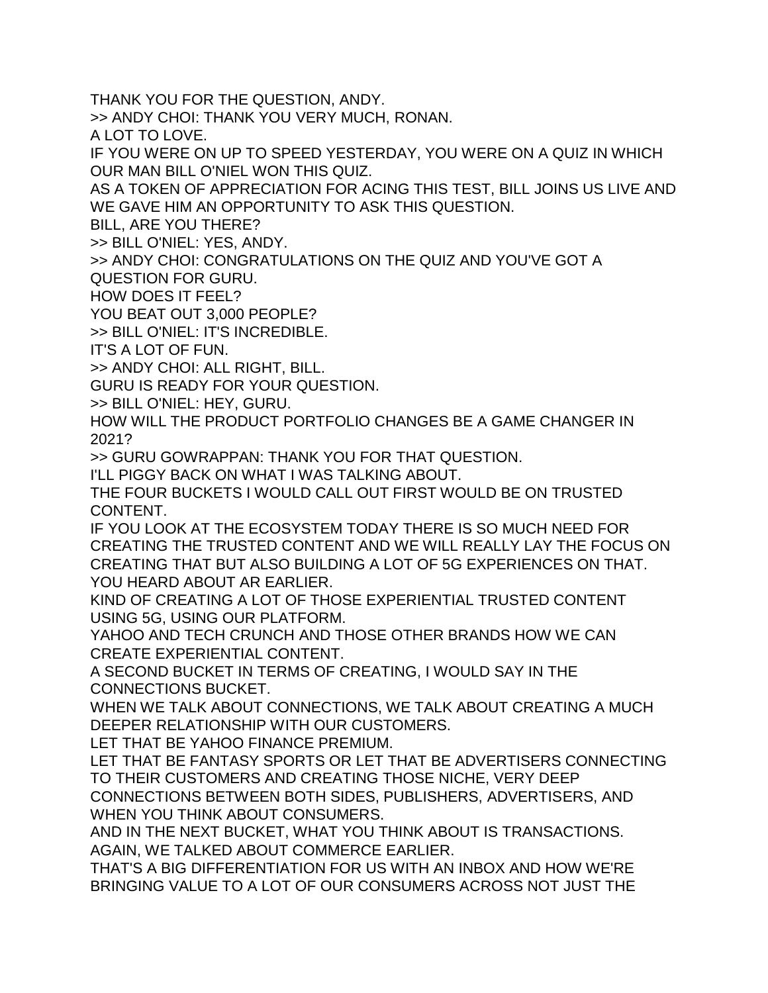THANK YOU FOR THE QUESTION, ANDY.

>> ANDY CHOI: THANK YOU VERY MUCH, RONAN.

A LOT TO LOVE.

IF YOU WERE ON UP TO SPEED YESTERDAY, YOU WERE ON A QUIZ IN WHICH OUR MAN BILL O'NIEL WON THIS QUIZ.

AS A TOKEN OF APPRECIATION FOR ACING THIS TEST, BILL JOINS US LIVE AND WE GAVE HIM AN OPPORTUNITY TO ASK THIS QUESTION.

BILL, ARE YOU THERE?

>> BILL O'NIEL: YES, ANDY.

>> ANDY CHOI: CONGRATULATIONS ON THE QUIZ AND YOU'VE GOT A

QUESTION FOR GURU.

HOW DOES IT FEEL?

YOU BEAT OUT 3,000 PEOPLE?

>> BILL O'NIEL: IT'S INCREDIBLE.

IT'S A LOT OF FUN.

>> ANDY CHOI: ALL RIGHT, BILL.

GURU IS READY FOR YOUR QUESTION.

>> BILL O'NIEL: HEY, GURU.

HOW WILL THE PRODUCT PORTFOLIO CHANGES BE A GAME CHANGER IN 2021?

>> GURU GOWRAPPAN: THANK YOU FOR THAT QUESTION.

I'LL PIGGY BACK ON WHAT I WAS TALKING ABOUT.

THE FOUR BUCKETS I WOULD CALL OUT FIRST WOULD BE ON TRUSTED CONTENT.

IF YOU LOOK AT THE ECOSYSTEM TODAY THERE IS SO MUCH NEED FOR CREATING THE TRUSTED CONTENT AND WE WILL REALLY LAY THE FOCUS ON CREATING THAT BUT ALSO BUILDING A LOT OF 5G EXPERIENCES ON THAT. YOU HEARD ABOUT AR EARLIER.

KIND OF CREATING A LOT OF THOSE EXPERIENTIAL TRUSTED CONTENT USING 5G, USING OUR PLATFORM.

YAHOO AND TECH CRUNCH AND THOSE OTHER BRANDS HOW WE CAN CREATE EXPERIENTIAL CONTENT.

A SECOND BUCKET IN TERMS OF CREATING, I WOULD SAY IN THE CONNECTIONS BUCKET.

WHEN WE TALK ABOUT CONNECTIONS, WE TALK ABOUT CREATING A MUCH DEEPER RELATIONSHIP WITH OUR CUSTOMERS.

LET THAT BE YAHOO FINANCE PREMIUM.

LET THAT BE FANTASY SPORTS OR LET THAT BE ADVERTISERS CONNECTING TO THEIR CUSTOMERS AND CREATING THOSE NICHE, VERY DEEP CONNECTIONS BETWEEN BOTH SIDES, PUBLISHERS, ADVERTISERS, AND WHEN YOU THINK ABOUT CONSUMERS.

AND IN THE NEXT BUCKET, WHAT YOU THINK ABOUT IS TRANSACTIONS. AGAIN, WE TALKED ABOUT COMMERCE EARLIER.

THAT'S A BIG DIFFERENTIATION FOR US WITH AN INBOX AND HOW WE'RE BRINGING VALUE TO A LOT OF OUR CONSUMERS ACROSS NOT JUST THE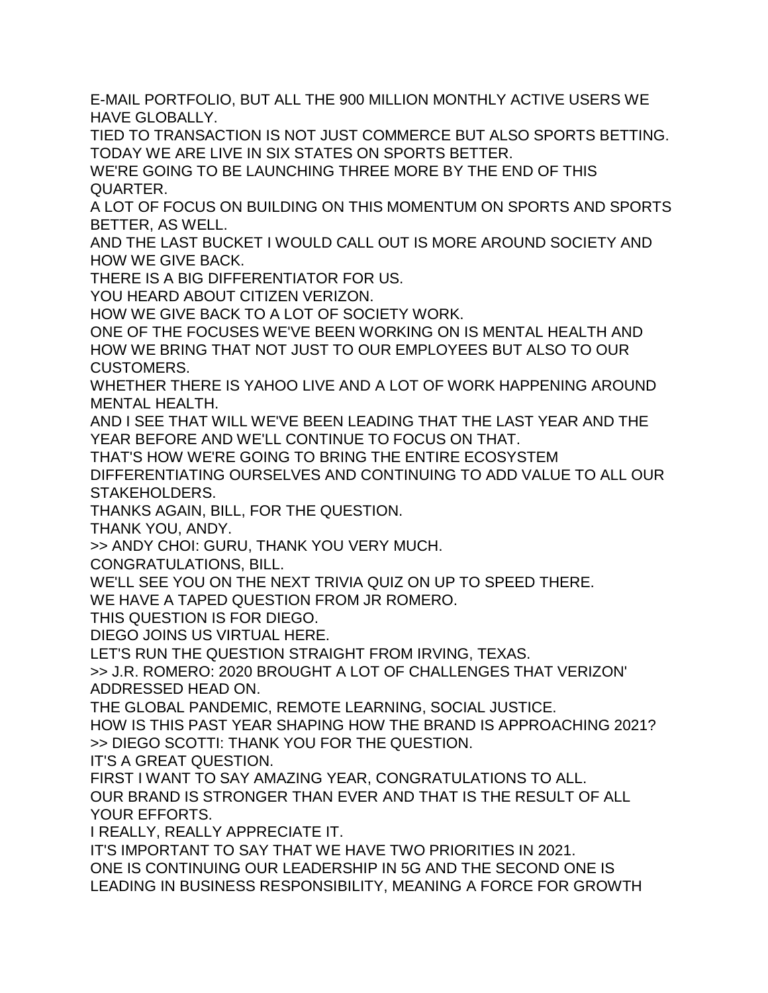E-MAIL PORTFOLIO, BUT ALL THE 900 MILLION MONTHLY ACTIVE USERS WE HAVE GLOBALLY.

TIED TO TRANSACTION IS NOT JUST COMMERCE BUT ALSO SPORTS BETTING. TODAY WE ARE LIVE IN SIX STATES ON SPORTS BETTER.

WE'RE GOING TO BE LAUNCHING THREE MORE BY THE END OF THIS QUARTER.

A LOT OF FOCUS ON BUILDING ON THIS MOMENTUM ON SPORTS AND SPORTS BETTER, AS WELL.

AND THE LAST BUCKET I WOULD CALL OUT IS MORE AROUND SOCIETY AND HOW WE GIVE BACK.

THERE IS A BIG DIFFERENTIATOR FOR US.

YOU HEARD ABOUT CITIZEN VERIZON.

HOW WE GIVE BACK TO A LOT OF SOCIETY WORK.

ONE OF THE FOCUSES WE'VE BEEN WORKING ON IS MENTAL HEALTH AND HOW WE BRING THAT NOT JUST TO OUR EMPLOYEES BUT ALSO TO OUR CUSTOMERS.

WHETHER THERE IS YAHOO LIVE AND A LOT OF WORK HAPPENING AROUND MENTAL HEALTH.

AND I SEE THAT WILL WE'VE BEEN LEADING THAT THE LAST YEAR AND THE YEAR BEFORE AND WE'LL CONTINUE TO FOCUS ON THAT.

THAT'S HOW WE'RE GOING TO BRING THE ENTIRE ECOSYSTEM

DIFFERENTIATING OURSELVES AND CONTINUING TO ADD VALUE TO ALL OUR STAKEHOLDERS.

THANKS AGAIN, BILL, FOR THE QUESTION.

THANK YOU, ANDY.

>> ANDY CHOI: GURU, THANK YOU VERY MUCH.

CONGRATULATIONS, BILL.

WE'LL SEE YOU ON THE NEXT TRIVIA QUIZ ON UP TO SPEED THERE.

WE HAVE A TAPED QUESTION FROM JR ROMERO.

THIS QUESTION IS FOR DIEGO.

DIEGO JOINS US VIRTUAL HERE.

LET'S RUN THE QUESTION STRAIGHT FROM IRVING, TEXAS.

>> J.R. ROMERO: 2020 BROUGHT A LOT OF CHALLENGES THAT VERIZON' ADDRESSED HEAD ON.

THE GLOBAL PANDEMIC, REMOTE LEARNING, SOCIAL JUSTICE.

HOW IS THIS PAST YEAR SHAPING HOW THE BRAND IS APPROACHING 2021? >> DIEGO SCOTTI: THANK YOU FOR THE QUESTION.

IT'S A GREAT QUESTION.

FIRST I WANT TO SAY AMAZING YEAR, CONGRATULATIONS TO ALL. OUR BRAND IS STRONGER THAN EVER AND THAT IS THE RESULT OF ALL YOUR EFFORTS.

I REALLY, REALLY APPRECIATE IT.

IT'S IMPORTANT TO SAY THAT WE HAVE TWO PRIORITIES IN 2021. ONE IS CONTINUING OUR LEADERSHIP IN 5G AND THE SECOND ONE IS LEADING IN BUSINESS RESPONSIBILITY, MEANING A FORCE FOR GROWTH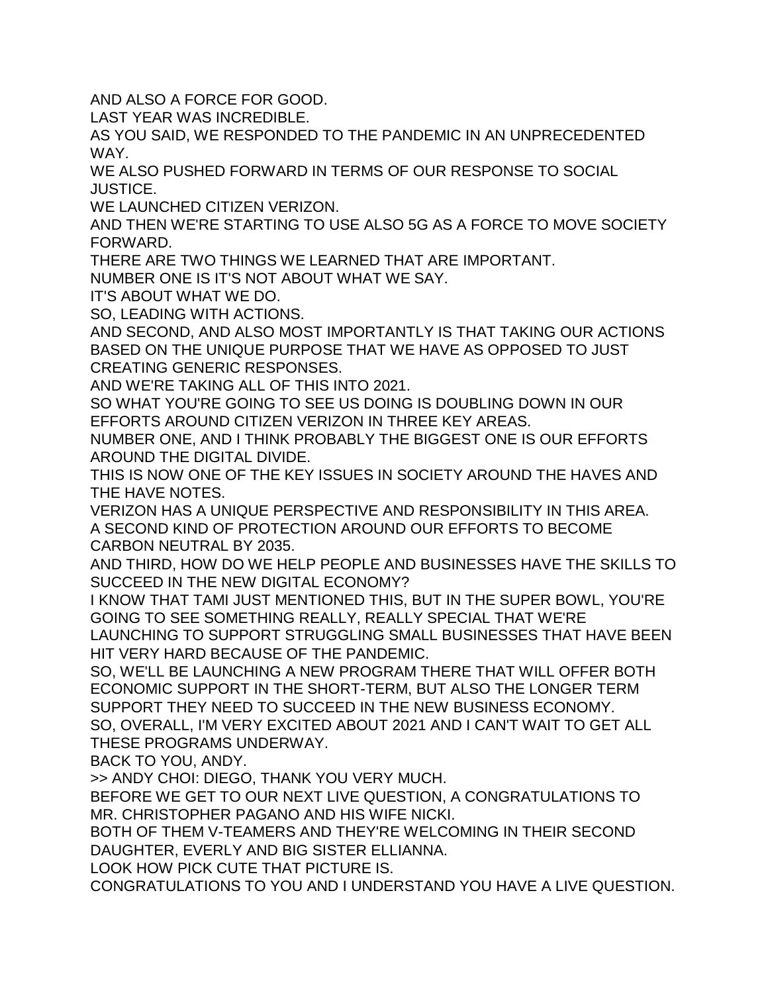AND ALSO A FORCE FOR GOOD.

LAST YEAR WAS INCREDIBLE.

AS YOU SAID, WE RESPONDED TO THE PANDEMIC IN AN UNPRECEDENTED WAY.

WE ALSO PUSHED FORWARD IN TERMS OF OUR RESPONSE TO SOCIAL JUSTICE.

WE LAUNCHED CITIZEN VERIZON.

AND THEN WE'RE STARTING TO USE ALSO 5G AS A FORCE TO MOVE SOCIETY FORWARD.

THERE ARE TWO THINGS WE LEARNED THAT ARE IMPORTANT.

NUMBER ONE IS IT'S NOT ABOUT WHAT WE SAY.

IT'S ABOUT WHAT WE DO.

SO, LEADING WITH ACTIONS.

AND SECOND, AND ALSO MOST IMPORTANTLY IS THAT TAKING OUR ACTIONS BASED ON THE UNIQUE PURPOSE THAT WE HAVE AS OPPOSED TO JUST CREATING GENERIC RESPONSES.

AND WE'RE TAKING ALL OF THIS INTO 2021.

SO WHAT YOU'RE GOING TO SEE US DOING IS DOUBLING DOWN IN OUR EFFORTS AROUND CITIZEN VERIZON IN THREE KEY AREAS.

NUMBER ONE, AND I THINK PROBABLY THE BIGGEST ONE IS OUR EFFORTS AROUND THE DIGITAL DIVIDE.

THIS IS NOW ONE OF THE KEY ISSUES IN SOCIETY AROUND THE HAVES AND THE HAVE NOTES.

VERIZON HAS A UNIQUE PERSPECTIVE AND RESPONSIBILITY IN THIS AREA. A SECOND KIND OF PROTECTION AROUND OUR EFFORTS TO BECOME CARBON NEUTRAL BY 2035.

AND THIRD, HOW DO WE HELP PEOPLE AND BUSINESSES HAVE THE SKILLS TO SUCCEED IN THE NEW DIGITAL ECONOMY?

I KNOW THAT TAMI JUST MENTIONED THIS, BUT IN THE SUPER BOWL, YOU'RE GOING TO SEE SOMETHING REALLY, REALLY SPECIAL THAT WE'RE

LAUNCHING TO SUPPORT STRUGGLING SMALL BUSINESSES THAT HAVE BEEN HIT VERY HARD BECAUSE OF THE PANDEMIC.

SO, WE'LL BE LAUNCHING A NEW PROGRAM THERE THAT WILL OFFER BOTH ECONOMIC SUPPORT IN THE SHORT-TERM, BUT ALSO THE LONGER TERM SUPPORT THEY NEED TO SUCCEED IN THE NEW BUSINESS ECONOMY. SO, OVERALL, I'M VERY EXCITED ABOUT 2021 AND I CAN'T WAIT TO GET ALL THESE PROGRAMS UNDERWAY.

BACK TO YOU, ANDY.

>> ANDY CHOI: DIEGO, THANK YOU VERY MUCH.

BEFORE WE GET TO OUR NEXT LIVE QUESTION, A CONGRATULATIONS TO MR. CHRISTOPHER PAGANO AND HIS WIFE NICKI.

BOTH OF THEM V-TEAMERS AND THEY'RE WELCOMING IN THEIR SECOND DAUGHTER, EVERLY AND BIG SISTER ELLIANNA.

LOOK HOW PICK CUTE THAT PICTURE IS.

CONGRATULATIONS TO YOU AND I UNDERSTAND YOU HAVE A LIVE QUESTION.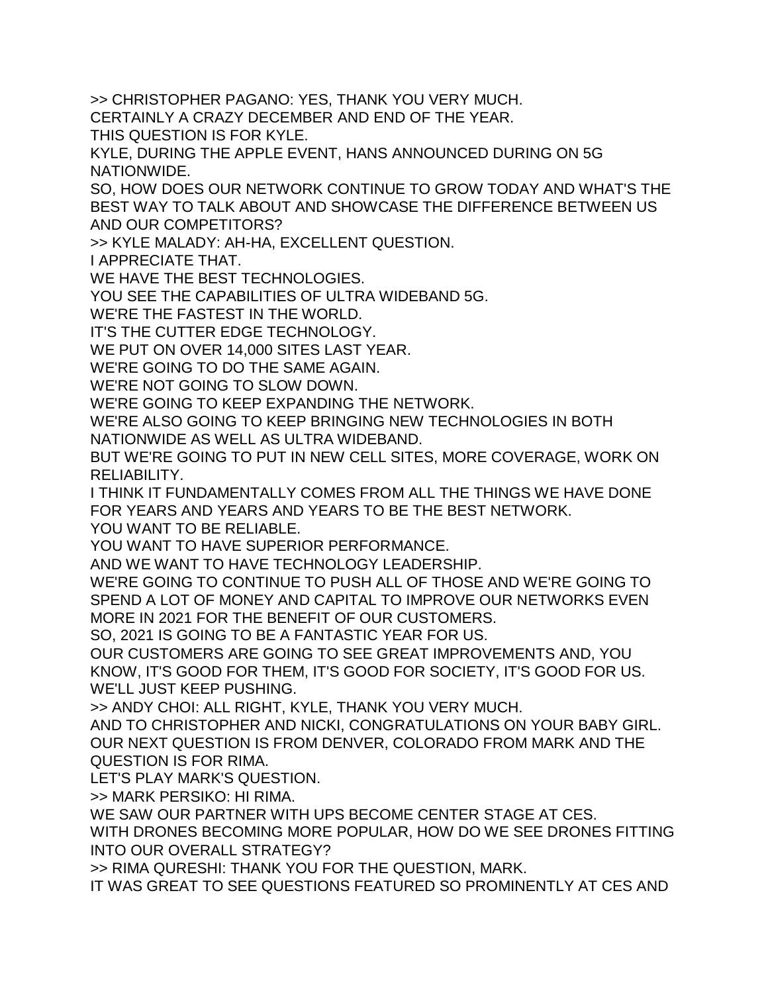>> CHRISTOPHER PAGANO: YES, THANK YOU VERY MUCH.

CERTAINLY A CRAZY DECEMBER AND END OF THE YEAR.

THIS QUESTION IS FOR KYLE.

KYLE, DURING THE APPLE EVENT, HANS ANNOUNCED DURING ON 5G NATIONWIDE.

SO, HOW DOES OUR NETWORK CONTINUE TO GROW TODAY AND WHAT'S THE BEST WAY TO TALK ABOUT AND SHOWCASE THE DIFFERENCE BETWEEN US AND OUR COMPETITORS?

>> KYLE MALADY: AH-HA, EXCELLENT QUESTION.

I APPRECIATE THAT.

WE HAVE THE BEST TECHNOLOGIES.

YOU SEE THE CAPABILITIES OF ULTRA WIDEBAND 5G.

WE'RE THE FASTEST IN THE WORLD.

IT'S THE CUTTER EDGE TECHNOLOGY.

WE PUT ON OVER 14,000 SITES LAST YEAR.

WE'RE GOING TO DO THE SAME AGAIN.

WE'RE NOT GOING TO SLOW DOWN.

WE'RE GOING TO KEEP EXPANDING THE NETWORK.

WE'RE ALSO GOING TO KEEP BRINGING NEW TECHNOLOGIES IN BOTH NATIONWIDE AS WELL AS ULTRA WIDEBAND.

BUT WE'RE GOING TO PUT IN NEW CELL SITES, MORE COVERAGE, WORK ON RELIABILITY.

I THINK IT FUNDAMENTALLY COMES FROM ALL THE THINGS WE HAVE DONE FOR YEARS AND YEARS AND YEARS TO BE THE BEST NETWORK.

YOU WANT TO BE RELIABLE.

YOU WANT TO HAVE SUPERIOR PERFORMANCE.

AND WE WANT TO HAVE TECHNOLOGY LEADERSHIP.

WE'RE GOING TO CONTINUE TO PUSH ALL OF THOSE AND WE'RE GOING TO SPEND A LOT OF MONEY AND CAPITAL TO IMPROVE OUR NETWORKS EVEN MORE IN 2021 FOR THE BENEFIT OF OUR CUSTOMERS.

SO, 2021 IS GOING TO BE A FANTASTIC YEAR FOR US.

OUR CUSTOMERS ARE GOING TO SEE GREAT IMPROVEMENTS AND, YOU KNOW, IT'S GOOD FOR THEM, IT'S GOOD FOR SOCIETY, IT'S GOOD FOR US. WE'LL JUST KEEP PUSHING.

>> ANDY CHOI: ALL RIGHT, KYLE, THANK YOU VERY MUCH.

AND TO CHRISTOPHER AND NICKI, CONGRATULATIONS ON YOUR BABY GIRL. OUR NEXT QUESTION IS FROM DENVER, COLORADO FROM MARK AND THE QUESTION IS FOR RIMA.

LET'S PLAY MARK'S QUESTION.

>> MARK PERSIKO: HI RIMA.

WE SAW OUR PARTNER WITH UPS BECOME CENTER STAGE AT CES.

WITH DRONES BECOMING MORE POPULAR, HOW DO WE SEE DRONES FITTING INTO OUR OVERALL STRATEGY?

>> RIMA QURESHI: THANK YOU FOR THE QUESTION, MARK.

IT WAS GREAT TO SEE QUESTIONS FEATURED SO PROMINENTLY AT CES AND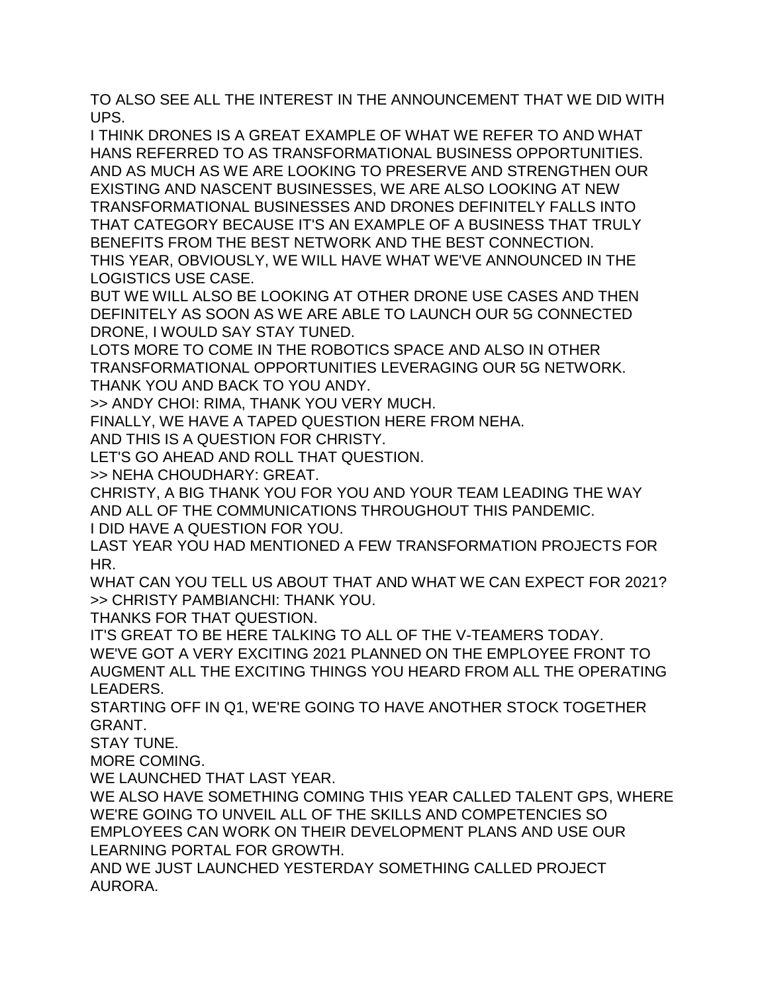TO ALSO SEE ALL THE INTEREST IN THE ANNOUNCEMENT THAT WE DID WITH UPS.

I THINK DRONES IS A GREAT EXAMPLE OF WHAT WE REFER TO AND WHAT HANS REFERRED TO AS TRANSFORMATIONAL BUSINESS OPPORTUNITIES. AND AS MUCH AS WE ARE LOOKING TO PRESERVE AND STRENGTHEN OUR EXISTING AND NASCENT BUSINESSES, WE ARE ALSO LOOKING AT NEW TRANSFORMATIONAL BUSINESSES AND DRONES DEFINITELY FALLS INTO THAT CATEGORY BECAUSE IT'S AN EXAMPLE OF A BUSINESS THAT TRULY BENEFITS FROM THE BEST NETWORK AND THE BEST CONNECTION. THIS YEAR, OBVIOUSLY, WE WILL HAVE WHAT WE'VE ANNOUNCED IN THE LOGISTICS USE CASE.

BUT WE WILL ALSO BE LOOKING AT OTHER DRONE USE CASES AND THEN DEFINITELY AS SOON AS WE ARE ABLE TO LAUNCH OUR 5G CONNECTED DRONE, I WOULD SAY STAY TUNED.

LOTS MORE TO COME IN THE ROBOTICS SPACE AND ALSO IN OTHER TRANSFORMATIONAL OPPORTUNITIES LEVERAGING OUR 5G NETWORK. THANK YOU AND BACK TO YOU ANDY.

>> ANDY CHOI: RIMA, THANK YOU VERY MUCH.

FINALLY, WE HAVE A TAPED QUESTION HERE FROM NEHA.

AND THIS IS A QUESTION FOR CHRISTY.

LET'S GO AHEAD AND ROLL THAT QUESTION.

>> NEHA CHOUDHARY: GREAT.

CHRISTY, A BIG THANK YOU FOR YOU AND YOUR TEAM LEADING THE WAY AND ALL OF THE COMMUNICATIONS THROUGHOUT THIS PANDEMIC.

I DID HAVE A QUESTION FOR YOU.

LAST YEAR YOU HAD MENTIONED A FEW TRANSFORMATION PROJECTS FOR HR.

WHAT CAN YOU TELL US ABOUT THAT AND WHAT WE CAN EXPECT FOR 2021? >> CHRISTY PAMBIANCHI: THANK YOU.

THANKS FOR THAT QUESTION.

IT'S GREAT TO BE HERE TALKING TO ALL OF THE V-TEAMERS TODAY. WE'VE GOT A VERY EXCITING 2021 PLANNED ON THE EMPLOYEE FRONT TO AUGMENT ALL THE EXCITING THINGS YOU HEARD FROM ALL THE OPERATING LEADERS.

STARTING OFF IN Q1, WE'RE GOING TO HAVE ANOTHER STOCK TOGETHER GRANT.

STAY TUNE.

MORE COMING.

WE LAUNCHED THAT LAST YEAR.

WE ALSO HAVE SOMETHING COMING THIS YEAR CALLED TALENT GPS, WHERE WE'RE GOING TO UNVEIL ALL OF THE SKILLS AND COMPETENCIES SO EMPLOYEES CAN WORK ON THEIR DEVELOPMENT PLANS AND USE OUR LEARNING PORTAL FOR GROWTH.

AND WE JUST LAUNCHED YESTERDAY SOMETHING CALLED PROJECT AURORA.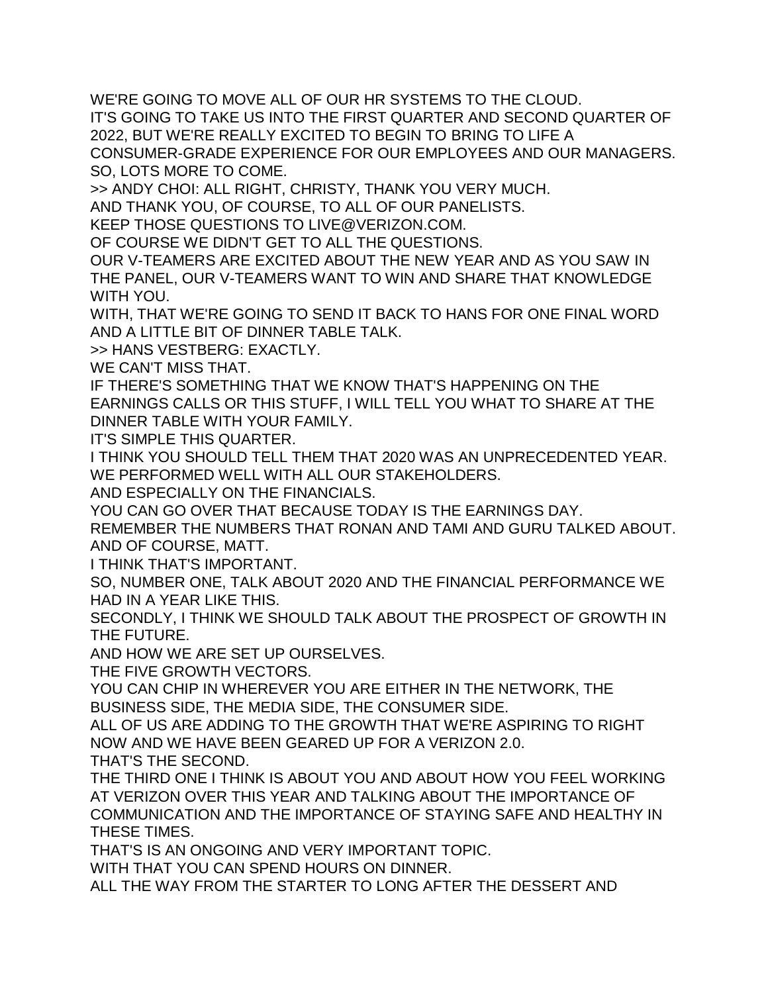WE'RE GOING TO MOVE ALL OF OUR HR SYSTEMS TO THE CLOUD.

IT'S GOING TO TAKE US INTO THE FIRST QUARTER AND SECOND QUARTER OF 2022, BUT WE'RE REALLY EXCITED TO BEGIN TO BRING TO LIFE A

CONSUMER-GRADE EXPERIENCE FOR OUR EMPLOYEES AND OUR MANAGERS. SO, LOTS MORE TO COME.

>> ANDY CHOI: ALL RIGHT, CHRISTY, THANK YOU VERY MUCH.

AND THANK YOU, OF COURSE, TO ALL OF OUR PANELISTS.

KEEP THOSE QUESTIONS TO LIVE@VERIZON.COM.

OF COURSE WE DIDN'T GET TO ALL THE QUESTIONS.

OUR V-TEAMERS ARE EXCITED ABOUT THE NEW YEAR AND AS YOU SAW IN THE PANEL, OUR V-TEAMERS WANT TO WIN AND SHARE THAT KNOWLEDGE WITH YOU.

WITH, THAT WE'RE GOING TO SEND IT BACK TO HANS FOR ONE FINAL WORD AND A LITTLE BIT OF DINNER TABLE TALK.

>> HANS VESTBERG: EXACTLY.

WE CAN'T MISS THAT.

IF THERE'S SOMETHING THAT WE KNOW THAT'S HAPPENING ON THE EARNINGS CALLS OR THIS STUFF, I WILL TELL YOU WHAT TO SHARE AT THE DINNER TABLE WITH YOUR FAMILY.

IT'S SIMPLE THIS QUARTER.

I THINK YOU SHOULD TELL THEM THAT 2020 WAS AN UNPRECEDENTED YEAR. WE PERFORMED WELL WITH ALL OUR STAKEHOLDERS.

AND ESPECIALLY ON THE FINANCIALS.

YOU CAN GO OVER THAT BECAUSE TODAY IS THE EARNINGS DAY.

REMEMBER THE NUMBERS THAT RONAN AND TAMI AND GURU TALKED ABOUT. AND OF COURSE, MATT.

I THINK THAT'S IMPORTANT.

SO, NUMBER ONE, TALK ABOUT 2020 AND THE FINANCIAL PERFORMANCE WE HAD IN A YEAR LIKE THIS.

SECONDLY, I THINK WE SHOULD TALK ABOUT THE PROSPECT OF GROWTH IN THE FUTURE.

AND HOW WE ARE SET UP OURSELVES.

THE FIVE GROWTH VECTORS.

YOU CAN CHIP IN WHEREVER YOU ARE EITHER IN THE NETWORK, THE BUSINESS SIDE, THE MEDIA SIDE, THE CONSUMER SIDE.

ALL OF US ARE ADDING TO THE GROWTH THAT WE'RE ASPIRING TO RIGHT NOW AND WE HAVE BEEN GEARED UP FOR A VERIZON 2.0.

THAT'S THE SECOND.

THE THIRD ONE I THINK IS ABOUT YOU AND ABOUT HOW YOU FEEL WORKING AT VERIZON OVER THIS YEAR AND TALKING ABOUT THE IMPORTANCE OF COMMUNICATION AND THE IMPORTANCE OF STAYING SAFE AND HEALTHY IN THESE TIMES.

THAT'S IS AN ONGOING AND VERY IMPORTANT TOPIC.

WITH THAT YOU CAN SPEND HOURS ON DINNER.

ALL THE WAY FROM THE STARTER TO LONG AFTER THE DESSERT AND